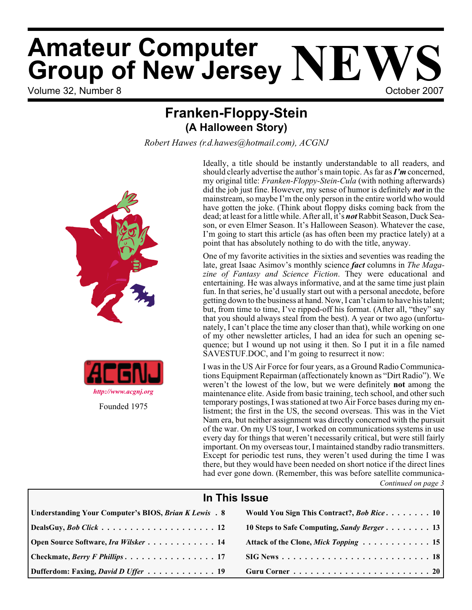# Volume 32, Number 8 **October 2007 Amateur Computer Group of New Jersey NEWS**

# **Franken-Floppy-Stein (A Halloween Story)**

*Robert Hawes (r.d.hawes@hotmail.com), ACGNJ*



Ideally, a title should be instantly understandable to all readers, and should clearly advertise the author's main topic. As far as*I'm* concerned, my original title: *Franken-Floppy-Stein-Cula* (with nothing afterwards) did the job just fine. However, my sense of humor is definitely *not* in the mainstream, so maybe I'm the only person in the entire world who would have gotten the joke. (Think about floppy disks coming back from the dead; at least for a little while. After all, it's *not*Rabbit Season, Duck Season, or even Elmer Season. It's Halloween Season). Whatever the case, I'm going to start this article (as has often been my practice lately) at a point that has absolutely nothing to do with the title, anyway.

One of my favorite activities in the sixties and seventies was reading the late, great Isaac Asimov's monthly science *fact* columns in *The Magazine of Fantasy and Science Fiction*. They were educational and entertaining. He was always informative, and at the same time just plain fun. In that series, he'd usually start out with a personal anecdote, before getting down to the business at hand. Now, I can't claim to have his talent; but, from time to time, I've ripped-off his format. (After all, "they" say that you should always steal from the best). A year or two ago (unfortunately, I can't place the time any closer than that), while working on one of my other newsletter articles, I had an idea for such an opening sequence; but I wound up not using it then. So I put it in a file named SAVESTUF.DOC, and I'm going to resurrect it now:

I was in the US Air Force for four years, as a Ground Radio Communications Equipment Repairman (affectionately known as "Dirt Radio"). We weren't the lowest of the low, but we were definitely **not** among the maintenance elite. Aside from basic training, tech school, and other such temporary postings, I was stationed at two Air Force bases during my enlistment; the first in the US, the second overseas. This was in the Viet Nam era, but neither assignment was directly concerned with the pursuit of the war. On my US tour, I worked on communications systems in use every day for things that weren't necessarily critical, but were still fairly important. On my overseas tour, I maintained standby radio transmitters. Except for periodic test runs, they weren't used during the time I was there, but they would have been needed on short notice if the direct lines had ever gone down. (Remember, this was before satellite communica-

*Continued on page 3*

# **In This Issue**

| Understanding Your Computer's BIOS, Brian K Lewis . 8 | Would You Sign This Contract?, Bob Rice 10                                                                                    |
|-------------------------------------------------------|-------------------------------------------------------------------------------------------------------------------------------|
|                                                       | 10 Steps to Safe Computing, Sandy Berger 13                                                                                   |
| <b>Open Source Software, Ira Wilsker 14</b>           | Attack of the Clone, Mick Topping 15                                                                                          |
| $\vert$ Checkmate, <i>Berry F Phillips.</i> 17        | $\text{SIG News} \dots \dots \dots \dots \dots \dots \dots \dots \dots \dots \dots \dots \dots \dots \dots \dots \dots \dots$ |
| Dufferdom: Faxing, <i>David D Uffer</i> 19            |                                                                                                                               |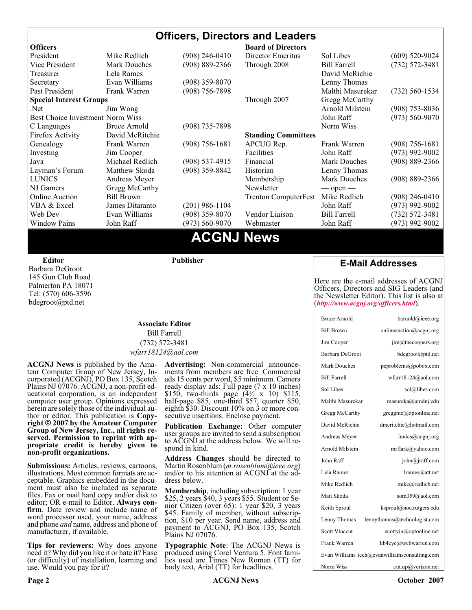#### **Officers, Directors and Leaders Officers Board of Directors**<br> **President Director Mike Redlich** (908) 246-0410 Director Emeritus (908) 246-0410 Director Emeritus Sol Libes (609) 520-9024 Vice President Mark Douches (908) 889-2366 Through 2008 Bill Farrell (732) 572-3481 Treasurer 1988 Lela Rames 1988 Contract and the David McRichie Secretary Evan Williams (908) 359-8070 Lenny Thomas Past President Frank Warren (908) 756-7898 Malthi Masurekar (732) 560-1534 **Special Interest Groups** Through 2007 Gregg McCarthy Net Jim Wong 31 Jim Wong 2008) 353-8036 Best Choice Investment Norm Wiss<br>
C Languages Bruce Arnold (908) 735-7898 (908) 700 Morm Wiss (973) 560-9070 C Languages Bruce Arnold (908) 735-7898<br>Firefox Activity David McRitchie Firefox Activity David McRitchie **Standing Committees** Genealogy Frank Warren (908) 756-1681 APCUG Rep. Frank Warren (908) 756-1681 Investing Jim Cooper Facilities Facilities John Raff (973) 992-9002<br>Java Michael Redlich (908) 537-4915 Financial Mark Douches (908) 889-2366 Java Michael Redlich (908) 537-4915 Financial Mark Douches (908) 889-2366 Layman's Forum Matthew Skoda (908) 359-8842 Historian Lenny Thomas LUNICS Andreas Meyer Membership Mark Douches (908) 889-2366 NJ Gamers Gregg McCarthy Newsletter — open — open — Online Auction Bill Brown Trenton ComputerFest Mike Redlich (908) 246-0410 VBA & Excel James Ditaranto (201) 986-1104 John Raff (973) 992-9002 Web Dev Evan Williams (908) 359-8070 Vendor Liaison Bill Farrell (732) 572-3481 Window Pains John Raff (973) 560-9070 Webmaster John Raff (973) 992-9002

# **ACGNJ News**

**Editor**

Barbara DeGroot 145 Gun Club Road Palmerton PA 18071 Tel: (570) 606-3596 bdegroot@ptd.net

**Publisher**

#### **Associate Editor** Bill Farrell (732) 572-3481 *wfarr18124@aol.com*

**ACGNJ News** is published by the Ama- teur Computer Group of New Jersey, In- corporated (ACGNJ), PO Box 135, Scotch Plains NJ 07076. ACGNJ, a non-profit ed-<br>ucational corporation, is an independent computer user group. Opinions expressed<br>herein are solely those of the individual author or editor. This publication is **Copy-**<br>right © 2007 by the Amateur Computer<br>Group of New Jersey, Inc., all rights re-**Group of New Jersey, Inc., all rights re- served. Permission to reprint with ap- propriate credit is hereby given to non-profit organizations.**

**Submissions:** Articles, reviews, cartoons, illustrations. Most common formats are acceptable. Graphics embedded in the docu-<br>ment must also be included as separate files. Fax or mail hard copy and/or disk to editor: OR e-mail to Editor. **Always con**firm. Date review and include name of word processor used, your name, address and phone *and* name, address and phone of manufacturer, if available.

**Tips for reviewers:** Why does anyone need it? Why did you like it or hate it? Ease (or difficulty) of installation, learning and use. Would you pay for it?

**Advertising:** Non-commercial announce- ments from members are free. Commercial ads 15 cents per word, \$5 minimum. Camera ready display ads: Full page (7 x 10 inches) \$150, two-thirds page (4½ x 10) \$115, half-page \$85, one-third \$57, quarter \$50, eighth \$30. Discount 10% on 3 or more con- secutive insertions. Enclose payment.

**Publication Exchange:** Other computer user groups are invited to send a subscription to ACGNJ at the address below. We will re- spond in kind.

**Address Changes** should be directed to Martin Rosenblum (*m.rosenblum@ieee.org*) and/or to his attention at ACGNJ at the ad- dress below.

**Membership**, including subscription: 1 year \$25, 2 years \$40, 3 years \$55. Student or Senior Citizen (over 65): 1 year \$20, 3 years \$45. Family of member, without subscription, \$10 per year. Send name, address and payment to ACGNJ, PO Box 135, Scotch Plains NJ 07076.

**Typographic Note**: The ACGNJ News is produced using Corel Ventura 5. Font fami- lies used are Times New Roman (TT) for body text, Arial (TT) for headlines.

### **E-Mail Addresses**

Here are the e-mail addresses of ACGNJ Officers, Directors and SIG Leaders (and the Newsletter Editor). This list is also at (*<http://www.acgnj.org/officers.html>*).

| <b>Bruce Arnold</b>  | $\text{barnold}(a)$ ieee.org                  |
|----------------------|-----------------------------------------------|
| <b>Bill Brown</b>    | onlineauction@acgnj.org                       |
| Jim Cooper           | $\lim$ ( <i>a</i> ) the coopers or g          |
| Barbara DeGroot      | bdegroot@ptd.net                              |
| Mark Douches         | pcproblems@pobox.com                          |
| <b>Bill Farrell</b>  | wfarr18124@aol.com                            |
| Sol Libes            | sol@libes.com                                 |
| Malthi Masurekar     | masureka@umdnj.edu                            |
| Gregg McCarthy       | greggmc@optonline.net                         |
| David McRichie       | dmcritchie@hotmail.com                        |
| Andreas Meyer        | lunics@acgnj.org                              |
| Arnold Milstein      | mrflark@yahoo.com                             |
| John Raff            | john@jraff.com                                |
| Lela Rames           | lrames@att.net                                |
| Mike Redlich         | mike@redlich.net                              |
| Matt Skoda           | som359@aol.com                                |
| Keith Sproul         | ksproul@noc.rutgers.edu                       |
| Lenny Thomas         | lennythomas@technologist.com                  |
| <b>Scott Vincent</b> | scottvin@optonline.net                        |
| Frank Warren         | kb4cyc@webwarren.com                          |
|                      | Evan Williams tech@evanwilliamsconsulting.com |
| Norm Wiss            | cut.up@verizon.net                            |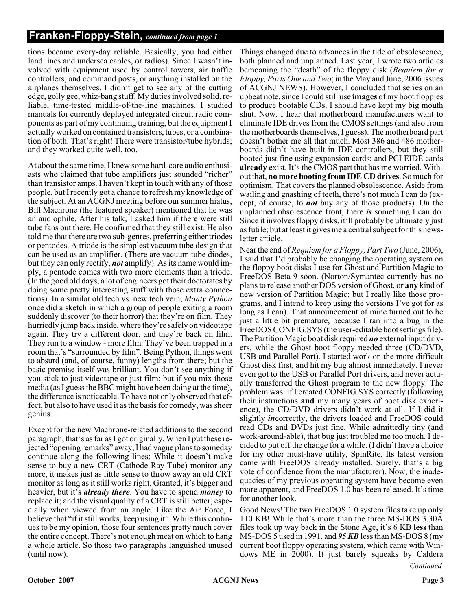tions became every-day reliable. Basically, you had either land lines and undersea cables, or radios). Since I wasn't involved with equipment used by control towers, air traffic controllers, and command posts, or anything installed on the airplanes themselves, I didn't get to see any of the cutting edge, golly gee, whiz-bang stuff. My duties involved solid, reliable, time-tested middle-of-the-line machines. I studied manuals for currently deployed integrated circuit radio components as part of my continuing training, but the equipment I actually worked on contained transistors, tubes, or a combination of both. That's right! There were transistor/tube hybrids; and they worked quite well, too.

At about the same time, I knew some hard-core audio enthusiasts who claimed that tube amplifiers just sounded "richer" than transistor amps. I haven't kept in touch with any of those people, but I recently got a chance to refresh my knowledge of the subject. At an ACGNJ meeting before our summer hiatus, Bill Machrone (the featured speaker) mentioned that he was an audiophile. After his talk, I asked him if there were still tube fans out there. He confirmed that they still exist. He also told me that there are two sub-genres, preferring either triodes or pentodes. A triode is the simplest vacuum tube design that can be used as an amplifier. (There are vacuum tube diodes, but they can only rectify, *not* amplify). As its name would imply, a pentode comes with two more elements than a triode. (In the good old days, a lot of engineers got their doctorates by doing some pretty interesting stuff with those extra connections). In a similar old tech vs. new tech vein, *Monty Python* once did a sketch in which a group of people exiting a room suddenly discover (to their horror) that they're on film. They hurriedly jump back inside, where they're safely on videotape again. They try a different door, and they're back on film. They run to a window - more film. They've been trapped in a room that's "surrounded by film". Being Python, things went to absurd (and, of course, funny) lengths from there; but the basic premise itself was brilliant. You don't see anything if you stick to just videotape or just film; but if you mix those media (as I guess the BBC might have been doing at the time), the difference is noticeable. To have not only observed that effect, but also to have used it as the basis for comedy, was sheer genius.

Except for the new Machrone-related additions to the second paragraph, that's as far as I got originally. When I put these rejected "opening remarks" away, I had vague plans to someday continue along the following lines: While it doesn't make sense to buy a new CRT (Cathode Ray Tube) monitor any more, it makes just as little sense to throw away an old CRT monitor as long as it still works right. Granted, it's bigger and heavier, but it's *already there*. You have to spend *money* to replace it; and the visual quality of a CRT is still better, especially when viewed from an angle. Like the Air Force, I believe that "if it still works, keep using it". While this continues to be my opinion, those four sentences pretty much cover the entire concept. There's not enough meat on which to hang a whole article. So those two paragraphs languished unused (until now).

Things changed due to advances in the tide of obsolescence, both planned and unplanned. Last year, I wrote two articles bemoaning the "death" of the floppy disk (*Requiem for a Floppy, Parts One and Two*; in the May and June, 2006 issues of ACGNJ NEWS). However, I concluded that series on an upbeat note, since I could still use **images** of my boot floppies to produce bootable CDs. I should have kept my big mouth shut. Now, I hear that motherboard manufacturers want to eliminate IDE drives from the CMOS settings (and also from the motherboards themselves, I guess). The motherboard part doesn't bother me all that much. Most 386 and 486 motherboards didn't have built-in IDE controllers, but they still booted just fine using expansion cards; and PCI EIDE cards **already** exist. It's the CMOS part that has me worried. Without that, **no more booting from IDE CD drives**. So much for optimism. That covers the planned obsolescence. Aside from wailing and gnashing of teeth, there's not much I can do (except, of course, to *not* buy any of those products). On the unplanned obsolescence front, there *is* something I can do. Since it involves floppy disks, it'll probably be ultimately just as futile; but at least it gives me a central subject for this newsletter article.

Near the end of *Requiem for a Floppy, Part Two* (June, 2006), I said that I'd probably be changing the operating system on the floppy boot disks I use for Ghost and Partition Magic to FreeDOS Beta 9 soon. (Norton/Symantec currently has no plans to release another DOS version of Ghost, or **any** kind of new version of Partition Magic; but I really like those programs, and I intend to keep using the versions I've got for as long as I can). That announcement of mine turned out to be just a little bit premature, because I ran into a bug in the FreeDOS CONFIG.SYS (the user-editable boot settings file). The Partition Magic boot disk required *no* external input drivers, while the Ghost boot floppy needed three (CD/DVD, USB and Parallel Port). I started work on the more difficult Ghost disk first, and hit my bug almost immediately. I never even got to the USB or Parallel Port drivers, and never actually transferred the Ghost program to the new floppy. The problem was: if I created CONFIG.SYS correctly (following their instructions **and** my many years of boot disk experience), the CD/DVD drivers didn't work at all. If I did it slightly *in*correctly, the drivers loaded and FreeDOS could read CDs and DVDs just fine. While admittedly tiny (and work-around-able), that bug just troubled me too much. I decided to put off the change for a while. (I didn't have a choice for my other must-have utility, SpinRite. Its latest version came with FreeDOS already installed. Surely, that's a big vote of confidence from the manufacturer). Now, the inadequacies of my previous operating system have become even more apparent, and FreeDOS 1.0 has been released. It's time for another look.

Good News! The two FreeDOS 1.0 system files take up only 110 KB! While that's more than the three MS-DOS 3.30A files took up way back in the Stone Age, it's 6 KB **less** than MS-DOS 5 used in 1991, and *95 KB*less than MS-DOS 8 (my current boot floppy operating system, which came with Windows ME in 2000). It just barely squeaks by Caldera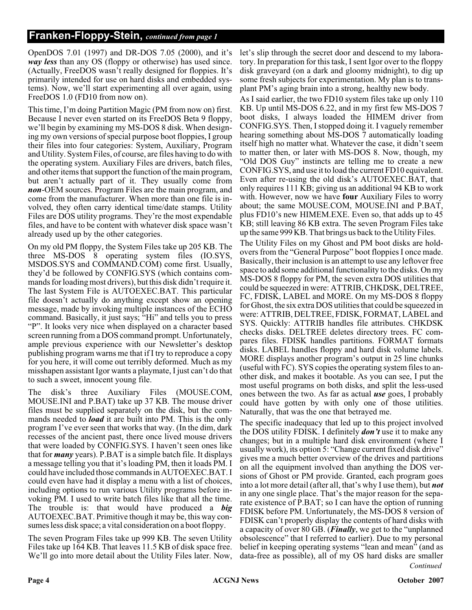OpenDOS 7.01 (1997) and DR-DOS 7.05 (2000), and it's *way less* than any OS (floppy or otherwise) has used since. (Actually, FreeDOS wasn't really designed for floppies. It's primarily intended for use on hard disks and embedded systems). Now, we'll start experimenting all over again, using FreeDOS 1.0 (FD10 from now on).

This time, I'm doing Partition Magic (PM from now on) first. Because I never even started on its FreeDOS Beta 9 floppy, we'll begin by examining my MS-DOS 8 disk. When designing my own versions of special purpose boot floppies, I group their files into four categories: System, Auxiliary, Program and Utility. System Files, of course, are files having to do with the operating system. Auxiliary Files are drivers, batch files, and other items that support the function of the main program, but aren't actually part of it. They usually come from *non*-OEM sources. Program Files are the main program, and come from the manufacturer. When more than one file is involved, they often carry identical time/date stamps. Utility Files are DOS utility programs. They're the most expendable files, and have to be content with whatever disk space wasn't already used up by the other categories.

On my old PM floppy, the System Files take up 205 KB. The three MS-DOS 8 operating system files (IO.SYS, MSDOS.SYS and COMMAND.COM) come first. Usually, they'd be followed by CONFIG.SYS (which contains commands for loading most drivers), but this disk didn't require it. The last System File is AUTOEXEC.BAT. This particular file doesn't actually do anything except show an opening message, made by invoking multiple instances of the ECHO command. Basically, it just says; "Hi" and tells you to press "P". It looks very nice when displayed on a character based screen running from a DOS command prompt. Unfortunately, ample previous experience with our Newsletter's desktop publishing program warns me that if I try to reproduce a copy for you here, it will come out terribly deformed. Much as my misshapen assistant Igor wants a playmate, I just can't do that to such a sweet, innocent young file.

The disk's three Auxiliary Files (MOUSE.COM, MOUSE.INI and P.BAT) take up 37 KB. The mouse driver files must be supplied separately on the disk, but the commands needed to *load* it are built into PM. This is the only program I've ever seen that works that way. (In the dim, dark recesses of the ancient past, there once lived mouse drivers that were loaded by CONFIG.SYS. I haven't seen ones like that for *many* years). P.BAT is a simple batch file. It displays a message telling you that it's loading PM, then it loads PM. I could have included those commands in AUTOEXEC.BAT. I could even have had it display a menu with a list of choices, including options to run various Utility programs before invoking PM. I used to write batch files like that all the time. The trouble is: that would have produced a *big* AUTOEXEC.BAT. Primitive though it may be, this way consumes less disk space; a vital consideration on a boot floppy.

The seven Program Files take up 999 KB. The seven Utility Files take up 164 KB. That leaves 11.5 KB of disk space free. We'll go into more detail about the Utility Files later. Now,

let's slip through the secret door and descend to my laboratory. In preparation for this task, I sent Igor over to the floppy disk graveyard (on a dark and gloomy midnight), to dig up some fresh subjects for experimentation. My plan is to transplant PM's aging brain into a strong, healthy new body.

As I said earlier, the two FD10 system files take up only 110 KB. Up until MS-DOS 6.22, and in my first few MS-DOS 7 boot disks, I always loaded the HIMEM driver from CONFIG.SYS. Then, I stopped doing it. I vaguely remember hearing something about MS-DOS 7 automatically loading itself high no matter what. Whatever the case, it didn't seem to matter then, or later with MS-DOS 8. Now, though, my "Old DOS Guy" instincts are telling me to create a new CONFIG.SYS, and use it to load the current FD10 equivalent. Even after re-using the old disk's AUTOEXEC.BAT, that only requires 111 KB; giving us an additional 94 KB to work with. However, now we have **four** Auxiliary Files to worry about; the same MOUSE.COM, MOUSE.INI and P.BAT, plus FD10's new HIMEM.EXE. Even so, that adds up to 45 KB; still leaving 86 KB extra. The seven Program Files take up the same 999 KB. That brings us back to the Utility Files.

The Utility Files on my Ghost and PM boot disks are holdovers from the "General Purpose" boot floppies I once made. Basically, their inclusion is an attempt to use any leftover free space to add some additional functionality to the disks. On my MS-DOS 8 floppy for PM, the seven extra DOS utilities that could be squeezed in were: ATTRIB, CHKDSK, DELTREE, FC, FDISK, LABEL and MORE. On my MS-DOS 8 floppy for Ghost, the six extra DOS utilities that could be squeezed in were: ATTRIB, DELTREE, FDISK, FORMAT, LABEL and SYS. Quickly: ATTRIB handles file attributes. CHKDSK checks disks. DELTREE deletes directory trees. FC compares files. FDISK handles partitions. FORMAT formats disks. LABEL handles floppy and hard disk volume labels. MORE displays another program's output in 25 line chunks (useful with FC). SYS copies the operating system files to another disk, and makes it bootable. As you can see, I put the most useful programs on both disks, and split the less-used ones between the two. As far as actual *use* goes, I probably could have gotten by with only one of those utilities. Naturally, that was the one that betrayed me.

*Continued* The specific inadequacy that led up to this project involved the DOS utility FDISK. I definitely *don't* use it to make any changes; but in a multiple hard disk environment (where I usually work), its option 5: "Change current fixed disk drive" gives me a much better overview of the drives and partitions on all the equipment involved than anything the DOS versions of Ghost or PM provide. Granted, each program goes into a lot more detail (after all, that's why I use them), but *not* in any one single place. That's the major reason for the separate existence of P.BAT; so I can have the option of running FDISK before PM. Unfortunately, the MS-DOS 8 version of FDISK can't properly display the contents of hard disks with a capacity of over 80 GB. (*Finally*, we get to the "unplanned obsolescence" that I referred to earlier). Due to my personal belief in keeping operating systems "lean and mean" (and as data-free as possible), all of my OS hard disks are smaller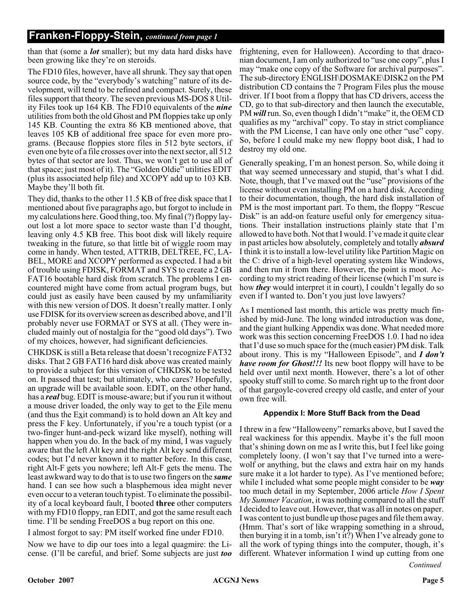than that (some a *lot* smaller); but my data hard disks have been growing like they're on steroids.

The FD10 files, however, have all shrunk. They say that open source code, by the "everybody's watching" nature of its development, will tend to be refined and compact. Surely, these files support that theory. The seven previous MS-DOS 8 Utility Files took up 164 KB. The FD10 equivalents of the *nine* utilities from both the old Ghost and PM floppies take up only 145 KB. Counting the extra 86 KB mentioned above, that leaves 105 KB of additional free space for even more programs. (Because floppies store files in 512 byte sectors, if even one byte of a file crosses over into the next sector, all 512 bytes of that sector are lost. Thus, we won't get to use all of that space; just most of it). The "Golden Oldie" utilities EDIT (plus its associated help file) and XCOPY add up to 103 KB. Maybe they'll both fit.

They did, thanks to the other 11.5 KB of free disk space that I mentioned about five paragraphs ago, but forgot to include in my calculations here. Good thing, too. My final (?) floppy layout lost a lot more space to sector waste than I'd thought, leaving only 4.5 KB free. This boot disk will likely require tweaking in the future, so that little bit of wiggle room may come in handy. When tested, ATTRIB, DELTREE, FC, LA-BEL, MORE and XCOPY performed as expected. I had a bit of trouble using FDISK, FORMAT and SYS to create a 2 GB FAT16 bootable hard disk from scratch. The problems I encountered might have come from actual program bugs, but could just as easily have been caused by my unfamiliarity with this new version of DOS. It doesn't really matter. I only use FDISK for its overview screen as described above, and I'll probably never use FORMAT or SYS at all. (They were included mainly out of nostalgia for the "good old days"). Two of my choices, however, had significant deficiencies.

CHKDSK is still a Beta release that doesn't recognize FAT32 disks. That 2 GB FAT16 hard disk above was created mainly to provide a subject for this version of CHKDSK to be tested on. It passed that test; but ultimately, who cares? Hopefully, an upgrade will be available soon. EDIT, on the other hand, has a *real* bug. EDIT is mouse-aware; but if you run it without a mouse driver loaded, the only way to get to the File menu (and thus the  $E_{X}$ it command) is to hold down an Alt key and press the F key. Unfortunately, if you're a touch typist (or a two-finger hunt-and-peck wizard like myself), nothing will happen when you do. In the back of my mind, I was vaguely aware that the left Alt key and the right Alt key send different codes; but I'd never known it to matter before. In this case, right Alt-F gets you nowhere; left Alt-F gets the menu. The least awkward way to do that is to use two fingers on the *same* hand. I can see how such a blasphemous idea might never even occur to a veteran touch typist. To eliminate the possibility of a local keyboard fault, I booted **three** other computers with my FD10 floppy, ran EDIT, and got the same result each time. I'll be sending FreeDOS a bug report on this one.

#### I almost forgot to say: PM itself worked fine under FD10.

Now we have to dip our toes into a legal quagmire: the License. (I'll be careful, and brief. Some subjects are just *too* frightening, even for Halloween). According to that draconian document, I am only authorized to "use one copy", plus I may "make one copy of the Software for archival purposes". The sub-directory ENGLISH\DOSMAKE\DISK2 on the PM distribution CD contains the 7 Program Files plus the mouse driver. If I boot from a floppy that has CD drivers, access the CD, go to that sub-directory and then launch the executable, PM *will* run. So, even though I didn't "make" it, the OEM CD qualifies as my "archival" copy. To stay in strict compliance with the PM License, I can have only one other "use" copy. So, before I could make my new floppy boot disk, I had to destroy my old one.

Generally speaking, I'm an honest person. So, while doing it that way seemed unnecessary and stupid, that's what I did. Note, though, that I've maxed out the "use" provisions of the license without even installing PM on a hard disk. According to their documentation, though, the hard disk installation of PM is the most important part. To them, the floppy "Rescue Disk" is an add-on feature useful only for emergency situations. Their installation instructions plainly state that I'm allowed to have both. Not that I would. I've made it quite clear in past articles how absolutely, completely and totally *absurd* I think it is to install a low-level utility like Partition Magic on the C: drive of a high-level operating system like Windows, and then run it from there. However, the point is moot. According to my strict reading of their license (which I'm sure is how *they* would interpret it in court), I couldn't legally do so even if I wanted to. Don't you just love lawyers?

As I mentioned last month, this article was pretty much finished by mid-June. The long winded introduction was done, and the giant hulking Appendix was done. What needed more work was this section concerning FreeDOS 1.0. I had no idea that I'd use so much space for the (much easier) PM disk. Talk about irony. This is my "Halloween Episode", and *I don't have room for Ghost!!!* Its new boot floppy will have to be held over until next month. However, there's a lot of other spooky stuff still to come. So march right up to the front door of that gargoyle-covered creepy old castle, and enter of your own free will.

#### **Appendix I: More Stuff Back from the Dead**

*Continued* I threw in a few "Halloweeny" remarks above, but I saved the real wackiness for this appendix. Maybe it's the full moon that's shining down on me as I write this, but I feel like going completely loony. (I won't say that I've turned into a werewolf or anything, but the claws and extra hair on my hands sure make it a lot harder to type). As I've mentioned before; while I included what some people might consider to be *way* too much detail in my September, 2006 article *How I Spent My Summer Vacation*, it was nothing compared to all the stuff I decided to leave out. However, that was all in notes on paper. I was content to just bundle up those pages and file them away. (Hmm. That's sort of like wrapping something in a shroud, then burying it in a tomb, isn't it?) When I've already gone to all the work of typing things into the computer, though, it's different. Whatever information I wind up cutting from one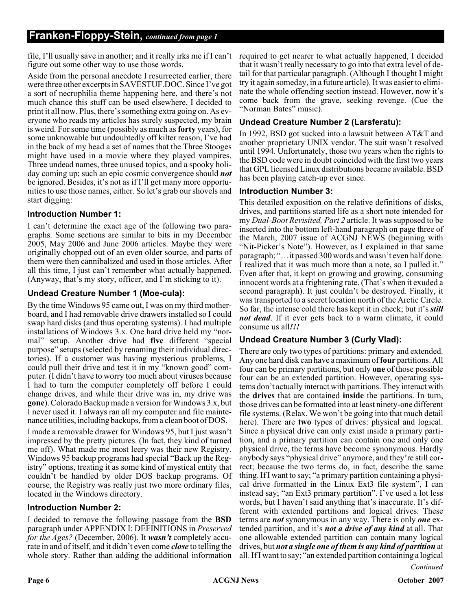file, I'll usually save in another; and it really irks me if I can't figure out some other way to use those words.

Aside from the personal anecdote I resurrected earlier, there were three other excerpts in SAVESTUF.DOC. Since I've got a sort of necrophilia theme happening here, and there's not much chance this stuff can be used elsewhere, I decided to print it all now. Plus, there's something extra going on. As everyone who reads my articles has surely suspected, my brain is weird. For some time (possibly as much as**forty** years), for some unknowable but undoubtedly off kilter reason, I've had in the back of my head a set of names that the Three Stooges might have used in a movie where they played vampires. Three undead names, three unused topics, and a spooky holiday coming up; such an epic cosmic convergence should *not* be ignored. Besides, it's not as if I'll get many more opportunities to use those names, either. So let's grab our shovels and start digging:

### **Introduction Number 1:**

I can't determine the exact age of the following two paragraphs. Some sections are similar to bits in my December 2005, May 2006 and June 2006 articles. Maybe they were originally chopped out of an even older source, and parts of them were then cannibalized and used in those articles. After all this time, I just can't remember what actually happened. (Anyway, that's my story, officer, and I'm sticking to it).

### **Undead Creature Number 1 (Moe-cula):**

By the time Windows 95 came out, I was on my third motherboard, and I had removable drive drawers installed so I could swap hard disks (and thus operating systems). I had multiple installations of Windows 3.x. One hard drive held my "normal" setup. Another drive had **five** different "special purpose" setups (selected by renaming their individual directories). If a customer was having mysterious problems, I could pull their drive and test it in my "known good" computer. (I didn't have to worry too much about viruses because I had to turn the computer completely off before I could change drives, and while their drive was in, my drive was **gone**). Colorado Backup made a version for Windows 3.x, but I never used it. I always ran all my computer and file maintenance utilities, including backups, from a clean boot of DOS.

I made a removable drawer for Windows 95, but I just wasn't impressed by the pretty pictures. (In fact, they kind of turned me off). What made me most leery was their new Registry. Windows 95 backup programs had special "Back up the Registry" options, treating it as some kind of mystical entity that couldn't be handled by older DOS backup programs. Of course, the Registry was really just two more ordinary files, located in the Windows directory.

#### **Introduction Number 2:**

I decided to remove the following passage from the **BSD** paragraph under APPENDIX I: DEFINITIONS in *Preserved for the Ages?* (December, 2006). It *wasn't* completely accurate in and of itself, and it didn't even come *close* to telling the whole story. Rather than adding the additional information

required to get nearer to what actually happened, I decided that it wasn't really necessary to go into that extra level of detail for that particular paragraph. (Although I thought I might try it again someday, in a future article). It was easier to eliminate the whole offending section instead. However, now it's come back from the grave, seeking revenge. (Cue the "Norman Bates" music).

### **Undead Creature Number 2 (Larsferatu):**

In 1992, BSD got sucked into a lawsuit between AT&T and another proprietary UNIX vendor. The suit wasn't resolved until 1994. Unfortunately, those two years when the rights to the BSD code were in doubt coincided with the first two years that GPL licensed Linux distributions became available. BSD has been playing catch-up ever since.

#### **Introduction Number 3:**

This detailed exposition on the relative definitions of disks, drives, and partitions started life as a short note intended for my *Dual-Boot Revisited, Part 2* article. It was supposed to be inserted into the bottom left-hand paragraph on page three of the March, 2007 issue of ACGNJ NEWS (beginning with "Nit-Picker's Note"). However, as I explained in that same paragraph; "…it passed 300 words and wasn't even half done. I realized that it was much more than a note, so I pulled it." Even after that, it kept on growing and growing, consuming innocent words at a frightening rate. (That's when it exuded a second paragraph). It just couldn't be destroyed. Finally, it was transported to a secret location north of the Arctic Circle. So far, the intense cold there has kept it in check; but it's *still not dead*. If it ever gets back to a warm climate, it could consume us all*!!!*

#### **Undead Creature Number 3 (Curly Vlad):**

There are only two types of partitions: primary and extended. Any one hard disk can have a maximum of**four** partitions. All four can be primary partitions, but only **one** of those possible four can be an extended partition. However, operating systems don't actually interact with partitions. They interact with the **drives** that are contained **inside** the partitions. In turn, those drives can be formatted into at least ninety-one different file systems. (Relax. We won't be going into that much detail here). There are **two** types of drives: physical and logical. Since a physical drive can only exist inside a primary partition, and a primary partition can contain one and only one physical drive, the terms have become synonymous. Hardly anybody says "physical drive" anymore, and they're still correct; because the two terms do, in fact, describe the same thing. If I want to say; "a primary partition containing a physical drive formatted in the Linux Ext3 file system", I can instead say; "an Ext3 primary partition". I've used a lot less words, but I haven't said anything that's inaccurate. It's different with extended partitions and logical drives. These terms are *not* synonymous in any way. There is only *one* extended partition, and it's *not a drive of any kind* at all. That one allowable extended partition can contain many logical drives, but *not a single one of them is any kind of partition* at all. If I want to say; "an extended partition containing a logical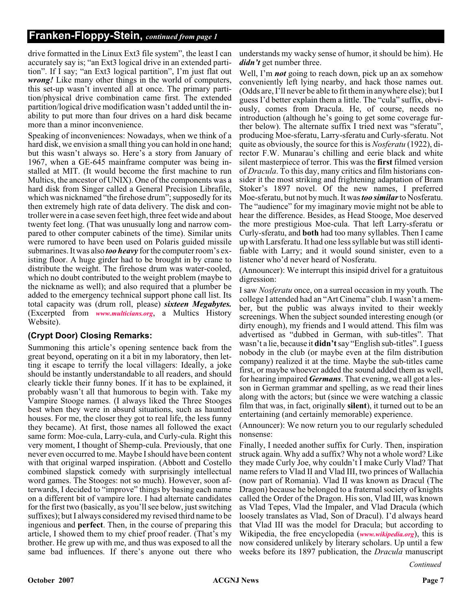drive formatted in the Linux Ext3 file system", the least I can accurately say is; "an Ext3 logical drive in an extended partition". If I say; "an Ext3 logical partition", I'm just flat out *wrong!* Like many other things in the world of computers, this set-up wasn't invented all at once. The primary partition/physical drive combination came first. The extended partition/logical drive modification wasn't added until the inability to put more than four drives on a hard disk became more than a minor inconvenience.

Speaking of inconveniences: Nowadays, when we think of a hard disk, we envision a small thing you can hold in one hand; but this wasn't always so. Here's a story from January of 1967, when a GE-645 mainframe computer was being installed at MIT. (It would become the first machine to run Multics, the ancestor of UNIX). One of the components was a hard disk from Singer called a General Precision Librafile, which was nicknamed "the firehose drum"; supposedly for its then extremely high rate of data delivery. The disk and controller were in a case seven feet high, three feet wide and about twenty feet long. (That was unusually long and narrow compared to other computer cabinets of the time). Similar units were rumored to have been used on Polaris guided missile submarines. It was also *too heavy* for the computer room's existing floor. A huge girder had to be brought in by crane to distribute the weight. The firehose drum was water-cooled, which no doubt contributed to the weight problem (maybe to the nickname as well); and also required that a plumber be added to the emergency technical support phone call list. Its total capacity was (drum roll, please) *sixteen Megabytes.* (Excerpted from *[www.multicians.org](http://www.multicians.org)*, a Multics History Website).

#### **(Crypt Door) Closing Remarks:**

Summoning this article's opening sentence back from the great beyond, operating on it a bit in my laboratory, then letting it escape to terrify the local villagers: Ideally, a joke should be instantly understandable to all readers, and should clearly tickle their funny bones. If it has to be explained, it probably wasn't all that humorous to begin with. Take my Vampire Stooge names. (I always liked the Three Stooges best when they were in absurd situations, such as haunted houses. For me, the closer they got to real life, the less funny they became). At first, those names all followed the exact same form: Moe-cula, Larry-cula, and Curly-cula. Right this very moment, I thought of Shemp-cula. Previously, that one never even occurred to me. Maybe I should have been content with that original warped inspiration. (Abbott and Costello combined slapstick comedy with surprisingly intellectual word games. The Stooges: not so much). However, soon afterwards, I decided to "improve" things by basing each name on a different bit of vampire lore. I had alternate candidates for the first two (basically, as you'll see below, just switching suffixes); but I always considered my revised third name to be ingenious and **perfect**. Then, in the course of preparing this article, I showed them to my chief proof reader. (That's my brother. He grew up with me, and thus was exposed to all the same bad influences. If there's anyone out there who

understands my wacky sense of humor, it should be him). He *didn't* get number three.

Well, I'm *not* going to reach down, pick up an ax somehow conveniently left lying nearby, and hack those names out. (Odds are, I'll never be able to fit them in anywhere else); but I guess I'd better explain them a little. The "cula" suffix, obviously, comes from Dracula. He, of course, needs no introduction (although he's going to get some coverage further below). The alternate suffix I tried next was "sferatu", producing Moe-sferatu, Larry-sferatu and Curly-sferatu. Not quite as obviously, the source for this is *Nosferatu* (1922), director F.W. Munarau's chilling and eerie black and white silent masterpiece of terror. This was the **first** filmed version of *Dracula*. To this day, many critics and film historians consider it the most striking and frightening adaptation of Bram Stoker's 1897 novel. Of the new names, I preferred Moe-sferatu, but not by much. It was*too similar*to Nosferatu. The "audience" for my imaginary movie might not be able to hear the difference. Besides, as Head Stooge, Moe deserved the more prestigious Moe-cula. That left Larry-sferatu or Curly-sferatu, and **both** had too many syllables. Then I came up with Larsferatu. It had one less syllable but was still identifiable with Larry; and it would sound sinister, even to a listener who'd never heard of Nosferatu.

(Announcer): We interrupt this insipid drivel for a gratuitous digression:

I saw *Nosferatu* once, on a surreal occasion in my youth. The college I attended had an "Art Cinema" club. I wasn't a member, but the public was always invited to their weekly screenings. When the subject sounded interesting enough (or dirty enough), my friends and I would attend. This film was advertised as "dubbed in German, with sub-titles". That wasn't a lie, because it **didn't**say "English sub-titles". I guess nobody in the club (or maybe even at the film distribution company) realized it at the time. Maybe the sub-titles came first, or maybe whoever added the sound added them as well, for hearing impaired *Germans*. That evening, we all got a lesson in German grammar and spelling, as we read their lines along with the actors; but (since we were watching a classic film that was, in fact, originally **silent**), it turned out to be an entertaining (and certainly memorable) experience.

(Announcer): We now return you to our regularly scheduled nonsense:

Finally, I needed another suffix for Curly. Then, inspiration struck again. Why add a suffix? Why not a whole word? Like they made Curly Joe, why couldn't I make Curly Vlad? That name refers to Vlad II and Vlad III, two princes of Wallachia (now part of Romania). Vlad II was known as Dracul (The Dragon) because he belonged to a fraternal society of knights called the Order of the Dragon. His son, Vlad III, was known as Vlad Tepes, Vlad the Impaler, and Vlad Dracula (which loosely translates as Vlad, Son of Dracul). I'd always heard that Vlad III was the model for Dracula; but according to Wikipedia, the free encyclopedia (*[www.wikipedia.org](http://www.wikipedia.org)*), this is now considered unlikely by literary scholars. Up until a few weeks before its 1897 publication, the *Dracula* manuscript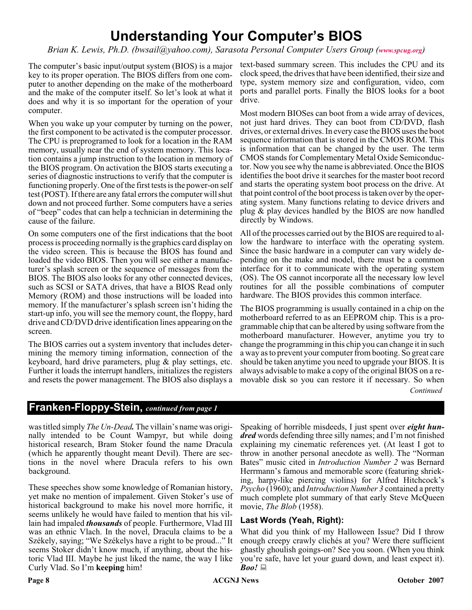# **Understanding Your Computer's BIOS**

*Brian K. Lewis, Ph.D. (bwsail@yahoo.com), Sarasota Personal Computer Users Group ([www.spcug.org](http://www.spcug.org))*

The computer's basic input/output system (BIOS) is a major key to its proper operation. The BIOS differs from one computer to another depending on the make of the motherboard and the make of the computer itself. So let's look at what it does and why it is so important for the operation of your computer.

When you wake up your computer by turning on the power, the first component to be activated is the computer processor. The CPU is preprogramed to look for a location in the RAM memory, usually near the end of system memory. This location contains a jump instruction to the location in memory of the BIOS program. On activation the BIOS starts executing a series of diagnostic instructions to verify that the computer is functioning properly. One of the first tests is the power-on self test (POST). If there are any fatal errors the computer will shut down and not proceed further. Some computers have a series of "beep" codes that can help a technician in determining the cause of the failure.

On some computers one of the first indications that the boot process is proceeding normally is the graphics card display on the video screen. This is because the BIOS has found and loaded the video BIOS. Then you will see either a manufacturer's splash screen or the sequence of messages from the BIOS. The BIOS also looks for any other connected devices, such as SCSI or SATA drives, that have a BIOS Read only Memory (ROM) and those instructions will be loaded into memory. If the manufacturer's splash screen isn't hiding the start-up info, you will see the memory count, the floppy, hard drive and CD/DVD drive identification lines appearing on the screen.

The BIOS carries out a system inventory that includes determining the memory timing information, connection of the keyboard, hard drive parameters, plug & play settings, etc. Further it loads the interrupt handlers, initializes the registers and resets the power management. The BIOS also displays a

text-based summary screen. This includes the CPU and its clock speed, the drives that have been identified, their size and type, system memory size and configuration, video, com ports and parallel ports. Finally the BIOS looks for a boot drive.

Most modern BIOSes can boot from a wide array of devices, not just hard drives. They can boot from CD/DVD, flash drives, or external drives. In every case the BIOS uses the boot sequence information that is stored in the CMOS ROM. This is information that can be changed by the user. The term CMOS stands for Complementary Metal Oxide Semiconductor. Now you see why the name is abbreviated. Once the BIOS identifies the boot drive it searches for the master boot record and starts the operating system boot process on the drive. At that point control of the boot process is taken over by the operating system. Many functions relating to device drivers and plug & play devices handled by the BIOS are now handled directly by Windows.

All of the processes carried out by the BIOS are required to allow the hardware to interface with the operating system. Since the basic hardware in a computer can vary widely depending on the make and model, there must be a common interface for it to communicate with the operating system (OS). The OS cannot incorporate all the necessary low level routines for all the possible combinations of computer hardware. The BIOS provides this common interface.

The BIOS programming is usually contained in a chip on the motherboard referred to as an EEPROM chip. This is a programmable chip that can be altered by using software from the motherboard manufacturer. However, anytime you try to change the programming in this chip you can change it in such a way as to prevent your computer from booting. So great care should be taken anytime you need to upgrade your BIOS. It is always advisable to make a copy of the original BIOS on a removable disk so you can restore it if necessary. So when

*Continued*

### **Franken-Floppy-Stein,** *continued from page 1*

was titled simply *The Un-Dead.* The villain's name was originally intended to be Count Wampyr, but while doing historical research, Bram Stoker found the name Dracula (which he apparently thought meant Devil). There are sections in the novel where Dracula refers to his own background.

These speeches show some knowledge of Romanian history, yet make no mention of impalement. Given Stoker's use of historical background to make his novel more horrific, it seems unlikely he would have failed to mention that his villain had impaled *thousands* of people. Furthermore, Vlad III was an ethnic Vlach. In the novel, Dracula claims to be a Székely, saying; "We Székelys have a right to be proud..." It seems Stoker didn't know much, if anything, about the historic Vlad III. Maybe he just liked the name, the way I like Curly Vlad. So I'm **keeping** him!

Speaking of horrible misdeeds, I just spent over *eight hundred* words defending three silly names; and I'm not finished explaining my cinematic references yet. (At least I got to throw in another personal anecdote as well). The "Norman Bates" music cited in *Introduction Number 2* was Bernard Herrmann's famous and memorable score (featuring shrieking, harpy-like piercing violins) for Alfred Hitchcock's *Psycho* (1960); and *Introduction Number 3* contained a pretty much complete plot summary of that early Steve McQueen movie, *The Blob* (1958).

#### **Last Words (Yeah, Right):**

What did you think of my Halloween Issue? Did I throw enough creepy crawly clichés at you? Were there sufficient ghastly ghoulish goings-on? See you soon. (When you think you're safe, have let your guard down, and least expect it). *Boo!*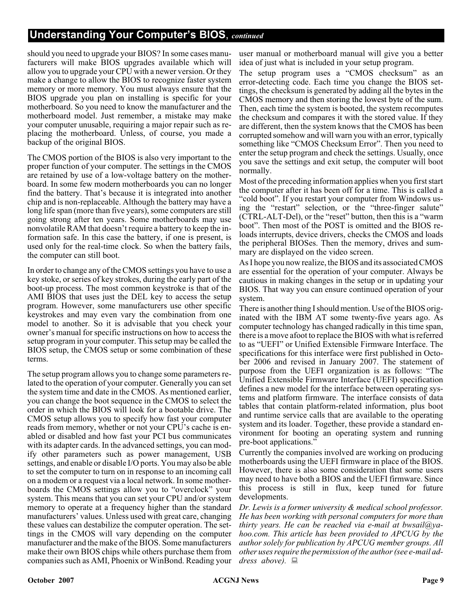# **Understanding Your Computer's BIOS**, *continued*

should you need to upgrade your BIOS? In some cases manufacturers will make BIOS upgrades available which will allow you to upgrade your CPU with a newer version. Or they make a change to allow the BIOS to recognize faster system memory or more memory. You must always ensure that the BIOS upgrade you plan on installing is specific for your motherboard. So you need to know the manufacturer and the motherboard model. Just remember, a mistake may make your computer unusable, requiring a major repair such as replacing the motherboard. Unless, of course, you made a backup of the original BIOS.

The CMOS portion of the BIOS is also very important to the proper function of your computer. The settings in the CMOS are retained by use of a low-voltage battery on the motherboard. In some few modern motherboards you can no longer find the battery. That's because it is integrated into another chip and is non-replaceable. Although the battery may have a long life span (more than five years), some computers are still going strong after ten years. Some motherboards may use nonvolatile RAM that doesn't require a battery to keep the information safe. In this case the battery, if one is present, is used only for the real-time clock. So when the battery fails, the computer can still boot.

In order to change any of the CMOS settings you have to use a key stoke, or series of key strokes, during the early part of the boot-up process. The most common keystroke is that of the AMI BIOS that uses just the DEL key to access the setup program. However, some manufacturers use other specific keystrokes and may even vary the combination from one model to another. So it is advisable that you check your owner's manual for specific instructions on how to access the setup program in your computer. This setup may be called the BIOS setup, the CMOS setup or some combination of these terms.

The setup program allows you to change some parameters related to the operation of your computer. Generally you can set the system time and date in the CMOS. As mentioned earlier, you can change the boot sequence in the CMOS to select the order in which the BIOS will look for a bootable drive. The CMOS setup allows you to specify how fast your computer reads from memory, whether or not your CPU's cache is enabled or disabled and how fast your PCI bus communicates with its adapter cards. In the advanced settings, you can modify other parameters such as power management, USB settings, and enable or disable I/O ports. You may also be able to set the computer to turn on in response to an incoming call on a modem or a request via a local network. In some motherboards the CMOS settings allow you to "overclock" your system. This means that you can set your CPU and/or system memory to operate at a frequency higher than the standard manufacturers' values. Unless used with great care, changing these values can destabilize the computer operation. The settings in the CMOS will vary depending on the computer manufacturer and the make of the BIOS. Some manufacturers make their own BIOS chips while others purchase them from companies such as AMI, Phoenix or WinBond. Reading your

user manual or motherboard manual will give you a better idea of just what is included in your setup program.

The setup program uses a "CMOS checksum" as an error-detecting code. Each time you change the BIOS settings, the checksum is generated by adding all the bytes in the CMOS memory and then storing the lowest byte of the sum. Then, each time the system is booted, the system recomputes the checksum and compares it with the stored value. If they are different, then the system knows that the CMOS has been corrupted somehow and will warn you with an error, typically something like "CMOS Checksum Error". Then you need to enter the setup program and check the settings. Usually, once you save the settings and exit setup, the computer will boot normally.

Most of the preceding information applies when you first start the computer after it has been off for a time. This is called a "cold boot". If you restart your computer from Windows using the "restart" selection, or the "three-finger salute" (CTRL-ALT-Del), or the "reset" button, then this is a "warm boot". Then most of the POST is omitted and the BIOS reloads interrupts, device drivers, checks the CMOS and loads the peripheral BIOSes. Then the memory, drives and summary are displayed on the video screen.

As I hope you now realize, the BIOS and its associated CMOS are essential for the operation of your computer. Always be cautious in making changes in the setup or in updating your BIOS. That way you can ensure continued operation of your system.

There is another thing I should mention. Use of the BIOS originated with the IBM AT some twenty-five years ago. As computer technology has changed radically in this time span, there is a move afoot to replace the BIOS with what is referred to as "UEFI" or Unified Extensible Firmware Interface. The specifications for this interface were first published in October 2006 and revised in January 2007. The statement of purpose from the UEFI organization is as follows: "The Unified Extensible Firmware Interface (UEFI) specification defines a new model for the interface between operating systems and platform firmware. The interface consists of data tables that contain platform-related information, plus boot and runtime service calls that are available to the operating system and its loader. Together, these provide a standard environment for booting an operating system and running pre-boot applications."

Currently the companies involved are working on producing motherboards using the UEFI firmware in place of the BIOS. However, there is also some consideration that some users may need to have both a BIOS and the UEFI firmware. Since this process is still in flux, keep tuned for future developments.

*Dr. Lewis is a former university & medical school professor. He has been working with personal computers for more than thirty years. He can be reached via e-mail at bwsail@yahoo.com. This article has been provided to APCUG by the author solely for publication by APCUG member groups. All other uses require the permission of the author (see e-mail address above).*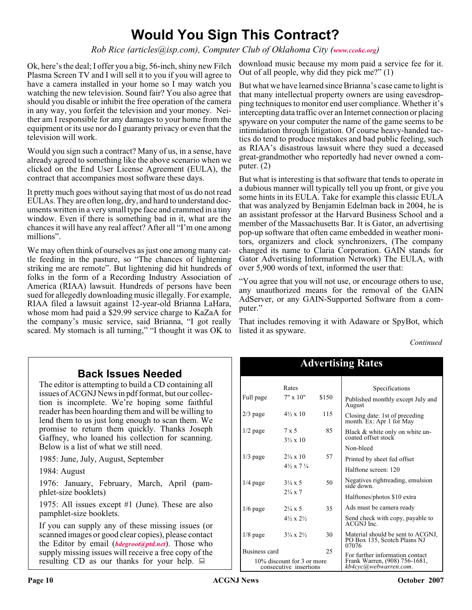# **Would You Sign This Contract?**

*Rob Rice (articles@isp.com), Computer Club of Oklahoma City ([www.ccokc.org](http://www.ccokc.org))*

Ok, here's the deal; I offer you a big, 56-inch, shiny new Filch Plasma Screen TV and I will sell it to you if you will agree to have a camera installed in your home so I may watch you watching the new television. Sound fair? You also agree that should you disable or inhibit the free operation of the camera in any way, you forfeit the television and your money. Neither am I responsible for any damages to your home from the equipment or its use nor do I guaranty privacy or even that the television will work.

Would you sign such a contract? Many of us, in a sense, have already agreed to something like the above scenario when we clicked on the End User License Agreement (EULA), the contract that accompanies most software these days.

It pretty much goes without saying that most of us do not read EULAs. They are often long, dry, and hard to understand documents written in a very small type face and crammed in a tiny window. Even if there is something bad in it, what are the chances it will have any real affect? After all "I'm one among millions".

We may often think of ourselves as just one among many cattle feeding in the pasture, so "The chances of lightening striking me are remote". But lightening did hit hundreds of folks in the form of a Recording Industry Association of America (RIAA) lawsuit. Hundreds of persons have been sued for allegedly downloading music illegally. For example, RIAA filed a lawsuit against 12-year-old Brianna LaHara, whose mom had paid a \$29.99 service charge to KaZaA for the company's music service, said Brianna, "I got really scared. My stomach is all turning," "I thought it was OK to

download music because my mom paid a service fee for it. Out of all people, why did they pick me?" (1)

But what we have learned since Brianna's case came to light is that many intellectual property owners are using eavesdropping techniques to monitor end user compliance. Whether it's intercepting data traffic over an Internet connection or placing spyware on your computer the name of the game seems to be intimidation through litigation. Of course heavy-handed tactics do tend to produce mistakes and bad public feeling, such as RIAA's disastrous lawsuit where they sued a deceased great-grandmother who reportedly had never owned a computer. (2)

But what is interesting is that software that tends to operate in a dubious manner will typically tell you up front, or give you some hints in its EULA. Take for example this classic EULA that was analyzed by Benjamin Edelman back in 2004, he is an assistant professor at the Harvard Business School and a member of the Massachusetts Bar. It is Gator, an advertising pop-up software that often came embedded in weather monitors, organizers and clock synchronizers, (The company changed its name to Claria Corporation. GAIN stands for Gator Advertising Information Network) The EULA, with over 5,900 words of text, informed the user that:

"You agree that you will not use, or encourage others to use, any unauthorized means for the removal of the GAIN AdServer, or any GAIN-Supported Software from a computer."

That includes removing it with Adaware or SpyBot, which listed it as spyware.

Advertising Rates

*Continued*

# **Back Issues Needed**

The editor is attempting to build a CD containing all issues of ACGNJ News in pdf format, but our collection is incomplete. We're hoping some faithful reader has been hoarding them and will be willing to lend them to us just long enough to scan them. We promise to return them quickly. Thanks Joseph Gaffney, who loaned his collection for scanning. Below is a list of what we still need.

1985: June, July, August, September

1984: August

1976: January, February, March, April (pamphlet-size booklets)

1975: All issues except #1 (June). These are also pamphlet-size booklets.

If you can supply any of these missing issues (or scanned images or good clear copies), please contact the Editor by email (*[bdegroot@ptd.net](mailto:bdegroot@ptd.net)*). Those who supply missing issues will receive a free copy of the resulting CD as our thanks for your help.  $\Box$ 

| <b>Auverusing Rates</b>                              |                                    |       |                                                                            |
|------------------------------------------------------|------------------------------------|-------|----------------------------------------------------------------------------|
|                                                      | Rates                              |       | Specifications                                                             |
| Full page                                            | $7" \times 10"$                    | \$150 | Published monthly except July and<br>August                                |
| $2/3$ page                                           | $4\frac{1}{2} \times 10$           | 115   | Closing date: 1st of preceding<br>month. Ex: Apr 1 for May                 |
| $1/2$ page                                           | 7 x 5<br>$3\frac{1}{2} \times 10$  | 85    | Black & white only on white un-<br>coated offset stock                     |
|                                                      |                                    |       | Non-bleed                                                                  |
| $1/3$ page                                           | $2\frac{1}{4} \times 10$           | 57    | Printed by sheet fed offset                                                |
|                                                      | $4\frac{1}{2} \times 7\frac{1}{4}$ |       | Halftone screen: 120                                                       |
| $1/4$ page                                           | $3\frac{1}{4} \times 5$            | 50    | Negatives rightreading, emulsion<br>side down.                             |
|                                                      | $2\frac{1}{4} \times 7$            |       | Halftones/photos \$10 extra                                                |
| $1/6$ page                                           | $2\frac{1}{4} \times 5$            | 35    | Ads must be camera ready                                                   |
|                                                      | $4\frac{1}{2} \times 2\frac{1}{2}$ |       | Send check with copy, payable to<br><b>ACGNJ</b> Inc.                      |
| $1/8$ page                                           | $3\frac{1}{4} \times 2\frac{1}{2}$ | 30    | Material should be sent to ACGNJ,<br>PO Box 135, Scotch Plains NJ<br>07076 |
| Business card                                        |                                    | 25    | For further information contact                                            |
| 10% discount for 3 or more<br>consecutive insertions |                                    |       | Frank Warren, (908) 756-1681,<br>kb4cvc@webwarren.com.                     |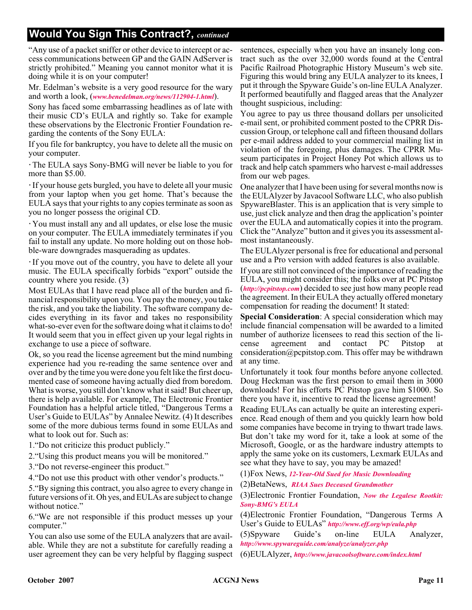# **Would You Sign This Contract?,** *continued*

"Any use of a packet sniffer or other device to intercept or access communications between GP and the GAIN AdServer is strictly prohibited." Meaning you cannot monitor what it is doing while it is on your computer!

Mr. Edelman's website is a very good resource for the wary and worth a look, (*[www.benedelman.org/news/112904-1.html](http://www.benedelman.org/news/112904-1.html)*).

Sony has faced some embarrassing headlines as of late with their music CD's EULA and rightly so. Take for example these observations by the Electronic Frontier Foundation regarding the contents of the Sony EULA:

If you file for bankruptcy, you have to delete all the music on your computer.

The EULA says Sony-BMG will never be liable to you for more than \$5.00.

If your house gets burgled, you have to delete all your music from your laptop when you get home. That's because the EULA says that your rights to any copies terminate as soon as you no longer possess the original CD.

You must install any and all updates, or else lose the music on your computer. The EULA immediately terminates if you fail to install any update. No more holding out on those hobble-ware downgrades masquerading as updates.

If you move out of the country, you have to delete all your music. The EULA specifically forbids "export" outside the country where you reside. (3)

Most EULAs that I have read place all of the burden and financial responsibility upon you. You pay the money, you take the risk, and you take the liability. The software company decides everything in its favor and takes no responsibility what-so-ever even for the software doing what it claims to do! It would seem that you in effect given up your legal rights in exchange to use a piece of software.

Ok, so you read the license agreement but the mind numbing experience had you re-reading the same sentence over and over and by the time you were done you felt like the first documented case of someone having actually died from boredom. What is worse, you still don't know what it said! But cheer up, there is help available. For example, The Electronic Frontier Foundation has a helpful article titled, "Dangerous Terms a User's Guide to EULAs" by Annalee Newitz. (4) It describes some of the more dubious terms found in some EULAs and what to look out for. Such as:

1."Do not criticize this product publicly."

2."Using this product means you will be monitored."

3."Do not reverse-engineer this product."

4."Do not use this product with other vendor's products."

5."By signing this contract, you also agree to every change in future versions of it. Oh yes, and EULAs are subject to change without notice."

6."We are not responsible if this product messes up your computer."

You can also use some of the EULA analyzers that are available. While they are not a substitute for carefully reading a user agreement they can be very helpful by flagging suspect sentences, especially when you have an insanely long contract such as the over 32,000 words found at the Central Pacific Railroad Photographic History Museum's web site. Figuring this would bring any EULA analyzer to its knees, I put it through the Spyware Guide's on-line EULA Analyzer. It performed beautifully and flagged areas that the Analyzer thought suspicious, including:

You agree to pay us three thousand dollars per unsolicited e-mail sent, or prohibited comment posted to the CPRR Discussion Group, or telephone call and fifteen thousand dollars per e-mail address added to your commercial mailing list in violation of the foregoing, plus damages. The CPRR Museum participates in Project Honey Pot which allows us to track and help catch spammers who harvest e-mail addresses from our web pages.

One analyzer that I have been using for several months now is the EULAlyzer by Javacool Software LLC, who also publish SpywareBlaster. This is an application that is very simple to use, just click analyze and then drag the application's pointer over the EULA and automatically copies it into the program. Click the "Analyze" button and it gives you its assessment almost instantaneously.

The EULAlyzer personal is free for educational and personal use and a Pro version with added features is also available.

If you are still not convinced of the importance of reading the EULA, you might consider this; the folks over at PC Pitstop (*<http://pcpitstop.com>*) decided to see just how many people read the agreement. In their EULA they actually offered monetary compensation for reading the document! It stated:

**Special Consideration**: A special consideration which may include financial compensation will be awarded to a limited number of authorize licensees to read this section of the license agreement and contact PC Pitstop at consideration@pcpitstop.com. This offer may be withdrawn at any time.

Unfortunately it took four months before anyone collected. Doug Heckman was the first person to email them in 3000 downloads! For his efforts PC Pitstop gave him \$1000. So there you have it, incentive to read the license agreement!

Reading EULAs can actually be quite an interesting experience. Read enough of them and you quickly learn how bold some companies have become in trying to thwart trade laws. But don't take my word for it, take a look at some of the Microsoft, Google, or as the hardware industry attempts to apply the same yoke on its customers, Lexmark EULAs and see what they have to say, you may be amazed!

(1)Fox News, *[12-Year-Old Sued for Music Downloading](http://www.foxnews.com/story/0,2933,96797,00.html)*

(2)BetaNews, *[RIAA Sues Deceased Grandmother](http://www.betanews.com/article/RIAA_Sues_Deceased_Grandmother/1107532260)*

(3)Electronic Frontier Foundation, *[Now the Legalese Rootkit:](http://www.eff.org/deeplinks/archives/004145.php) Sony-BMG's EULA*

(4)Electronic Frontier Foundation, "Dangerous Terms A User's Guide to EULAs" *<http://www.eff.org/wp/eula.php>*

(5)Spyware Guide's on-line EULA Analyzer, *<http://www.spywareguide.com/analyze/analyzer.php>*

(6)EULAlyzer, *<http://www.javacoolsoftware.com/index.html>*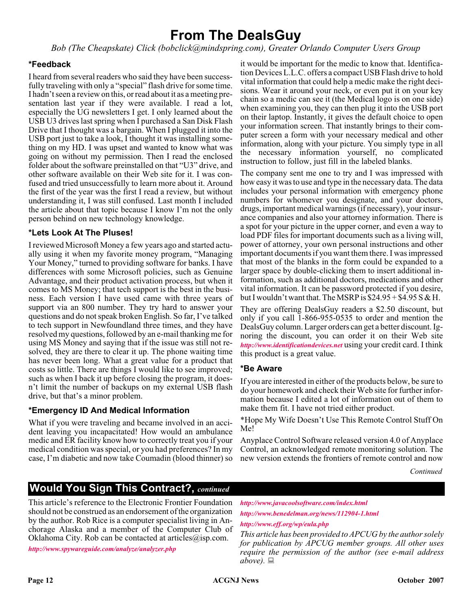# **From The DealsGuy**

*Bob (The Cheapskate) Click (bobclick@mindspring.com), Greater Orlando Computer Users Group*

#### **\*Feedback**

I heard from several readers who said they have been successfully traveling with only a "special" flash drive for some time. I hadn't seen a review on this, or read about it as a meeting presentation last year if they were available. I read a lot, especially the UG newsletters I get. I only learned about the USB U3 drives last spring when I purchased a San Disk Flash Drive that I thought was a bargain. When I plugged it into the USB port just to take a look, I thought it was installing something on my HD. I was upset and wanted to know what was going on without my permission. Then I read the enclosed folder about the software preinstalled on that "U3" drive, and other software available on their Web site for it. I was confused and tried unsuccessfully to learn more about it. Around the first of the year was the first I read a review, but without understanding it, I was still confused. Last month I included the article about that topic because I know I'm not the only person behind on new technology knowledge.

#### **\*Lets Look At The Pluses!**

I reviewed Microsoft Money a few years ago and started actually using it when my favorite money program, "Managing Your Money," turned to providing software for banks. I have differences with some Microsoft policies, such as Genuine Advantage, and their product activation process, but when it comes to MS Money; that tech support is the best in the business. Each version I have used came with three years of support via an 800 number. They try hard to answer your questions and do not speak broken English. So far, I've talked to tech support in Newfoundland three times, and they have resolved my questions, followed by an e-mail thanking me for using MS Money and saying that if the issue was still not resolved, they are there to clear it up. The phone waiting time has never been long. What a great value for a product that costs so little. There are things I would like to see improved; such as when I back it up before closing the program, it doesn't limit the number of backups on my external USB flash drive, but that's a minor problem.

#### **\*Emergency ID And Medical Information**

What if you were traveling and became involved in an accident leaving you incapacitated! How would an ambulance medic and ER facility know how to correctly treat you if your medical condition was special, or you had preferences? In my case, I'm diabetic and now take Coumadin (blood thinner) so

it would be important for the medic to know that. Identification Devices L.L.C. offers a compact USB Flash drive to hold vital information that could help a medic make the right decisions. Wear it around your neck, or even put it on your key chain so a medic can see it (the Medical logo is on one side) when examining you, they can then plug it into the USB port on their laptop. Instantly, it gives the default choice to open your information screen. That instantly brings to their computer screen a form with your necessary medical and other information, along with your picture. You simply type in all the necessary information yourself, no complicated instruction to follow, just fill in the labeled blanks.

The company sent me one to try and I was impressed with how easy it was to use and type in the necessary data. The data includes your personal information with emergency phone numbers for whomever you designate, and your doctors, drugs, important medical warnings (if necessary), your insurance companies and also your attorney information. There is a spot for your picture in the upper corner, and even a way to load PDF files for important documents such as a living will, power of attorney, your own personal instructions and other important documents if you want them there. I was impressed that most of the blanks in the form could be expanded to a larger space by double-clicking them to insert additional information, such as additional doctors, medications and other vital information. It can be password protected if you desire, but I wouldn't want that. The MSRP is  $$24.95 + $4.95 S & H.$ 

They are offering DealsGuy readers a \$2.50 discount, but only if you call 1-866-955-0535 to order and mention the DealsGuy column. Larger orders can get a better discount. Ignoring the discount, you can order it on their Web site *<http://www.identificationdevices.net>* using your credit card. I think this product is a great value.

#### **\*Be Aware**

If you are interested in either of the products below, be sure to do your homework and check their Web site for further information because I edited a lot of information out of them to make them fit. I have not tried either product.

\*Hope My Wife Doesn't Use This Remote Control Stuff On Me!

Anyplace Control Software released version 4.0 of Anyplace Control, an acknowledged remote monitoring solution. The new version extends the frontiers of remote control and now

*Continued*

# **Would You Sign This Contract?,** *continued*

This article's reference to the Electronic Frontier Foundation should not be construed as an endorsement of the organization by the author. Rob Rice is a computer specialist living in Anchorage Alaska and a member of the Computer Club of Oklahoma City. Rob can be contacted at articles $\omega$ isp.com.

*<http://www.spywareguide.com/analyze/analyzer.php>*

*<http://www.javacoolsoftware.com/index.html> <http://www.benedelman.org/news/112904-1.html>*

#### *<http://www.eff.org/wp/eula.php>*

*This article has been provided to APCUG by the author solely for publication by APCUG member groups. All other uses require the permission of the author (see e-mail address above).*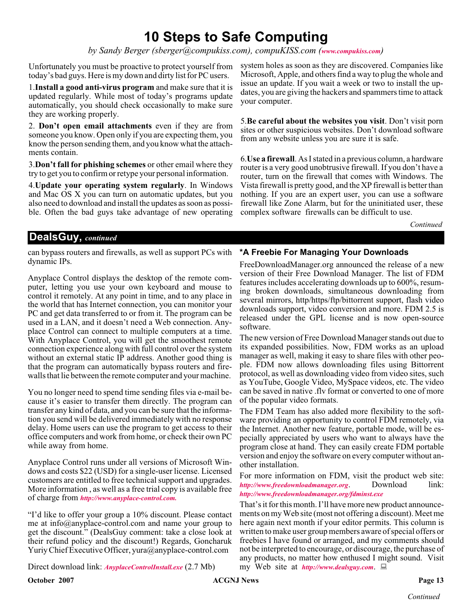# **10 Steps to Safe Computing**

*by Sandy Berger (sberger@compukiss.com), compuKISS.com ([www.compukiss.com](http://www.compukiss.com))*

Unfortunately you must be proactive to protect yourself from today's bad guys. Here is my down and dirty list for PC users.

1.**Install a good anti-virus program** and make sure that it is updated regularly. While most of today's programs update automatically, you should check occasionally to make sure they are working properly.

2. **Don't open email attachments** even if they are from someone you know. Open only if you are expecting them, you know the person sending them, and you know what the attachments contain.

3.**Don't fall for phishing schemes** or other email where they try to get you to confirm or retype your personal information.

4.**Update your operating system regularly**. In Windows and Mac OS X you can turn on automatic updates, but you also need to download and install the updates as soon as possible. Often the bad guys take advantage of new operating system holes as soon as they are discovered. Companies like Microsoft, Apple, and others find a way to plug the whole and issue an update. If you wait a week or two to install the updates, you are giving the hackers and spammers time to attack your computer.

5.**Be careful about the websites you visit**. Don't visit porn sites or other suspicious websites. Don't download software from any website unless you are sure it is safe.

6.**Use a firewall**. As I stated in a previous column, a hardware router is a very good unobtrusive firewall. If you don't have a router, turn on the firewall that comes with Windows. The Vista firewall is pretty good, and the XP firewall is better than nothing. If you are an expert user, you can use a software firewall like Zone Alarm, but for the uninitiated user, these complex software firewalls can be difficult to use.

*Continued*

# **DealsGuy,** *continued*

can bypass routers and firewalls, as well as support PCs with dynamic IPs.

Anyplace Control displays the desktop of the remote computer, letting you use your own keyboard and mouse to control it remotely. At any point in time, and to any place in the world that has Internet connection, you can monitor your PC and get data transferred to or from it. The program can be used in a LAN, and it doesn't need a Web connection. Anyplace Control can connect to multiple computers at a time. With Anyplace Control, you will get the smoothest remote connection experience along with full control over the system without an external static IP address. Another good thing is that the program can automatically bypass routers and firewalls that lie between the remote computer and your machine.

You no longer need to spend time sending files via e-mail because it's easier to transfer them directly. The program can transfer any kind of data, and you can be sure that the information you send will be delivered immediately with no response delay. Home users can use the program to get access to their office computers and work from home, or check their own PC while away from home.

Anyplace Control runs under all versions of Microsoft Windows and costs \$22 (USD) for a single-user license. Licensed customers are entitled to free technical support and upgrades. More information , as well as a free trial copy is available free of charge from *[http://www.anyplace-control.com.](http://www.anyplace-control.com. )*

"I'd like to offer your group a 10% discount. Please contact me at info@anyplace-control.com and name your group to get the discount." (DealsGuy comment: take a close look at their refund policy and the discount!) Regards, Goncharuk Yuriy Chief Executive Officer, yura@anyplace-control.com

Direct download link: *[AnyplaceControlInstall.exe](http://www.anyplace-control.com/anyplace-control/data/AnyplaceControlInstall.exe)* (2.7 Mb)

**October 2007 CONS Page 13 CONS Page 13 Page 13** 

FreeDownloadManager.org announced the release of a new version of their Free Download Manager. The list of FDM features includes accelerating downloads up to 600%, resuming broken downloads, simultaneous downloading from several mirrors, http/https/ftp/bittorrent support, flash video downloads support, video conversion and more. FDM 2.5 is released under the GPL license and is now open-source software.

**\*A Freebie For Managing Your Downloads**

The new version of Free Download Manager stands out due to its expanded possibilities. Now, FDM works as an upload manager as well, making it easy to share files with other people. FDM now allows downloading files using Bittorrent protocol, as well as downloading video from video sites, such as YouTube, Google Video, MySpace videos, etc. The video can be saved in native .flv format or converted to one of more of the popular video formats.

The FDM Team has also added more flexibility to the software providing an opportunity to control FDM remotely, via the Internet. Another new feature, portable mode, will be especially appreciated by users who want to always have the program close at hand. They can easily create FDM portable version and enjoy the software on every computer without another installation.

For more information on FDM, visit the product web site: *<http://www.freedownloadmanager.org>*. Download link: *<http://www.freedownloadmanager.org/fdminst.exe>*

That's it for this month. I'll have more new product announcements on my Web site (most not offering a discount). Meet me here again next month if your editor permits. This column is written to make user group members aware of special offers or freebies I have found or arranged, and my comments should not be interpreted to encourage, or discourage, the purchase of any products, no matter how enthused I might sound. Visit my Web site at *<http://www.dealsguy.com>*.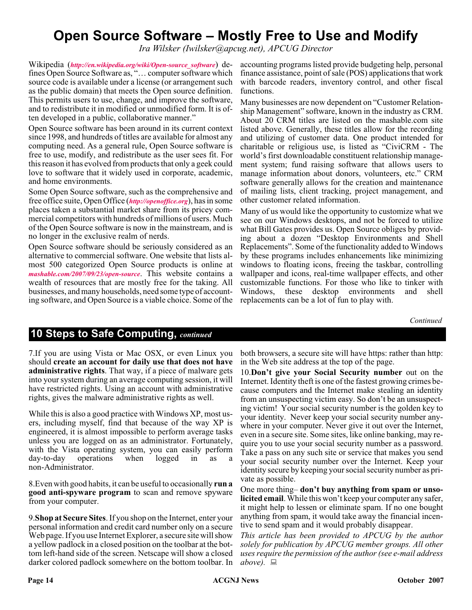# **Open Source Software – Mostly Free to Use and Modify**

*Ira Wilsker (Iwilsker@apcug.net), APCUG Director*

Wikipedia (*[http://en.wikipedia.org/wiki/Open-source\\_software](http://en.wikipedia.org/wiki/Open-source_software)*) defines Open Source Software as, "… computer software which source code is available under a license (or arrangement such as the public domain) that meets the Open source definition. This permits users to use, change, and improve the software, and to redistribute it in modified or unmodified form. It is often developed in a public, collaborative manner."

Open Source software has been around in its current context since 1998, and hundreds of titles are available for almost any computing need. As a general rule, Open Source software is free to use, modify, and redistribute as the user sees fit. For this reason it has evolved from products that only a geek could love to software that it widely used in corporate, academic, and home environments.

Some Open Source software, such as the comprehensive and free office suite, Open Office (*<http://openoffice.org>*), has in some places taken a substantial market share from its pricey commercial competitors with hundreds of millions of users. Much of the Open Source software is now in the mainstream, and is no longer in the exclusive realm of nerds.

Open Source software should be seriously considered as an alternative to commercial software. One website that lists almost 500 categorized Open Source products is online at *[mashable.com/2007/09/23/open-source](http://www.mashable.com/2007/09/23/open-source)*. This website contains a wealth of resources that are mostly free for the taking. All businesses, and many households, need some type of accounting software, and Open Source is a viable choice. Some of the

accounting programs listed provide budgeting help, personal finance assistance, point of sale (POS) applications that work with barcode readers, inventory control, and other fiscal functions.

Many businesses are now dependent on "Customer Relationship Management" software, known in the industry as CRM. About 20 CRM titles are listed on the mashable.com site listed above. Generally, these titles allow for the recording and utilizing of customer data. One product intended for charitable or religious use, is listed as "CiviCRM - The world's first downloadable constituent relationship management system; fund raising software that allows users to manage information about donors, volunteers, etc." CRM software generally allows for the creation and maintenance of mailing lists, client tracking, project management, and other customer related information.

Many of us would like the opportunity to customize what we see on our Windows desktops, and not be forced to utilize what Bill Gates provides us. Open Source obliges by providing about a dozen "Desktop Environments and Shell Replacements". Some of the functionality added to Windows by these programs includes enhancements like minimizing windows to floating icons, freeing the taskbar, controlling wallpaper and icons, real-time wallpaper effects, and other customizable functions. For those who like to tinker with Windows, these desktop environments and shell replacements can be a lot of fun to play with.

*Continued*

# **10 Steps to Safe Computing,** *continued*

7.If you are using Vista or Mac OSX, or even Linux you should **create an account for daily use that does not have administrative rights**. That way, if a piece of malware gets into your system during an average computing session, it will have restricted rights. Using an account with administrative rights, gives the malware administrative rights as well.

While this is also a good practice with Windows XP, most users, including myself, find that because of the way XP is engineered, it is almost impossible to perform average tasks unless you are logged on as an administrator. Fortunately, with the Vista operating system, you can easily perform day-to-day operations when logged in as non-Administrator.

8.Even with good habits, it can be useful to occasionally **run a good anti-spyware program** to scan and remove spyware from your computer.

9.**Shop at Secure Sites**. If you shop on the Internet, enter your personal information and credit card number only on a secure Web page. If you use Internet Explorer, a secure site will show a yellow padlock in a closed position on the toolbar at the bottom left-hand side of the screen. Netscape will show a closed darker colored padlock somewhere on the bottom toolbar. In

both browsers, a secure site will have https: rather than http: in the Web site address at the top of the page.

10.**Don't give your Social Security number** out on the Internet. Identity theft is one of the fastest growing crimes because computers and the Internet make stealing an identity from an unsuspecting victim easy. So don't be an unsuspecting victim! Your social security number is the golden key to your identity. Never keep your social security number anywhere in your computer. Never give it out over the Internet, even in a secure site. Some sites, like online banking, may require you to use your social security number as a password. Take a pass on any such site or service that makes you send your social security number over the Internet. Keep your identity secure by keeping your social security number as private as possible.

One more thing– **don't buy anything from spam or unsolicited email**. While this won't keep your computer any safer, it might help to lessen or eliminate spam. If no one bought anything from spam, it would take away the financial incentive to send spam and it would probably disappear.

*This article has been provided to APCUG by the author solely for publication by APCUG member groups. All other uses require the permission of the author (see e-mail address above).*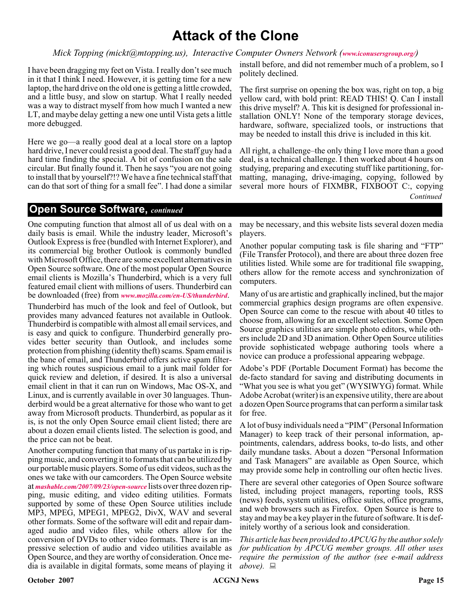# **Attack of the Clone**

#### *Mick Topping (mickt@mtopping.us), Interactive Computer Owners Network ([www.iconusersgroup.org/](http://www.iconusersgroup.org/))*

I have been dragging my feet on Vista. I really don't see much in it that I think I need. However, it is getting time for a new laptop, the hard drive on the old one is getting a little crowded, and a little busy, and slow on startup. What I really needed was a way to distract myself from how much I wanted a new LT, and maybe delay getting a new one until Vista gets a little more debugged.

Here we go—a really good deal at a local store on a laptop hard drive, I never could resist a good deal. The staff guy had a hard time finding the special. A bit of confusion on the sale circular. But finally found it. Then he says "you are not going to install that by yourself?!? We have a fine technical staff that can do that sort of thing for a small fee". I had done a similar

install before, and did not remember much of a problem, so I politely declined.

The first surprise on opening the box was, right on top, a big yellow card, with bold print: READ THIS! Q. Can I install this drive myself? A. This kit is designed for professional installation ONLY! None of the temporary storage devices, hardware, software, specialized tools, or instructions that may be needed to install this drive is included in this kit.

All right, a challenge–the only thing I love more than a good deal, is a technical challenge. I then worked about 4 hours on studying, preparing and executing stuff like partitioning, formatting, managing, drive-imaging, copying, followed by several more hours of FIXMBR, FIXBOOT C:, copying *Continued*

#### **Open Source Software,** *continued*

One computing function that almost all of us deal with on a daily basis is email. While the industry leader, Microsoft's Outlook Express is free (bundled with Internet Explorer), and its commercial big brother Outlook is commonly bundled with Microsoft Office, there are some excellent alternatives in Open Source software. One of the most popular Open Source email clients is Mozilla's Thunderbird, which is a very full featured email client with millions of users. Thunderbird can be downloaded (free) from *[www.mozilla.com/en-US/thunderbird](http://www.mozilla.com/en-US/thunderbird)*.

Thunderbird has much of the look and feel of Outlook, but provides many advanced features not available in Outlook. Thunderbird is compatible with almost all email services, and is easy and quick to configure. Thunderbird generally provides better security than Outlook, and includes some protection from phishing (identity theft) scams. Spam email is the bane of email, and Thunderbird offers active spam filtering which routes suspicious email to a junk mail folder for quick review and deletion, if desired. It is also a universal email client in that it can run on Windows, Mac OS-X, and Linux, and is currently available in over 30 languages. Thunderbird would be a great alternative for those who want to get away from Microsoft products. Thunderbird, as popular as it is, is not the only Open Source email client listed; there are about a dozen email clients listed. The selection is good, and the price can not be beat.

Another computing function that many of us partake in is ripping music, and converting it to formats that can be utilized by our portable music players. Some of us edit videos, such as the ones we take with our camcorders. The Open Source website at *[mashable.com/2007/09/23/open-source](http://www.mashable.com/2007/09/23/open-source)* lists over three dozen ripping, music editing, and video editing utilities. Formats supported by some of these Open Source utilities include MP3, MPEG, MPEG1, MPEG2, DivX, WAV and several other formats. Some of the software will edit and repair damaged audio and video files, while others allow for the conversion of DVDs to other video formats. There is an impressive selection of audio and video utilities available as Open Source, and they are worthy of consideration. Once media is available in digital formats, some means of playing it  $above$ .  $\Box$ 

may be necessary, and this website lists several dozen media players.

Another popular computing task is file sharing and "FTP" (File Transfer Protocol), and there are about three dozen free utilities listed. While some are for traditional file swapping, others allow for the remote access and synchronization of computers.

Many of us are artistic and graphically inclined, but the major commercial graphics design programs are often expensive. Open Source can come to the rescue with about 40 titles to choose from, allowing for an excellent selection. Some Open Source graphics utilities are simple photo editors, while others include 2D and 3D animation. Other Open Source utilities provide sophisticated webpage authoring tools where a novice can produce a professional appearing webpage.

Adobe's PDF (Portable Document Format) has become the de-facto standard for saving and distributing documents in "What you see is what you get" (WYSIWYG) format. While Adobe Acrobat (writer) is an expensive utility, there are about a dozen Open Source programs that can perform a similar task for free.

A lot of busy individuals need a "PIM" (Personal Information Manager) to keep track of their personal information, appointments, calendars, address books, to-do lists, and other daily mundane tasks. About a dozen "Personal Information and Task Managers" are available as Open Source, which may provide some help in controlling our often hectic lives.

There are several other categories of Open Source software listed, including project managers, reporting tools, RSS (news) feeds, system utilities, office suites, office programs, and web browsers such as Firefox. Open Source is here to stay and may be a key player in the future of software. It is definitely worthy of a serious look and consideration.

*This article has been provided to APCUG by the author solely for publication by APCUG member groups. All other uses require the permission of the author (see e-mail address*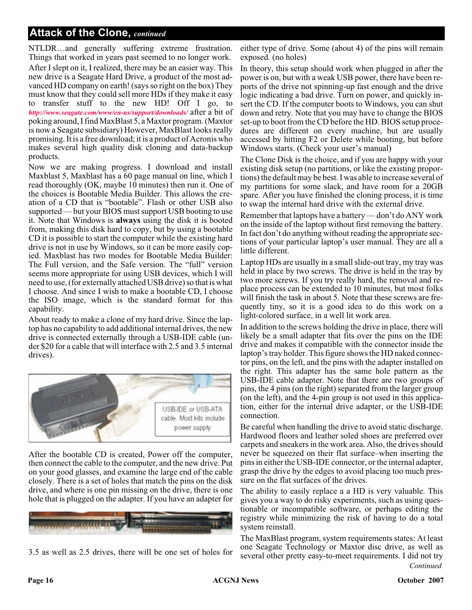# **Attack of the Clone,** *continued*

NTLDR…and generally suffering extreme frustration. Things that worked in years past seemed to no longer work. After I slept on it, I realized, there may be an easier way. This new drive is a Seagate Hard Drive, a product of the most advanced HD company on earth! (says so right on the box) They must know that they could sell more HDs if they make it easy to transfer stuff to the new HD! Off I go, to *<http://www.seagate.com/www/en-us/support/downloads/>* after a bit of poking around, I find MaxBlast 5, a Maxtor program. (Maxtor is now a Seagate subsidiary) However, MaxBlast looks really promising. It is a free download; it is a product of Acronis who makes several high quality disk cloning and data-backup products.

Now we are making progress. I download and install Maxblast 5, Maxblast has a 60 page manual on line, which I read thoroughly (OK, maybe 10 minutes) then run it. One of the choices is Bootable Media Builder. This allows the creation of a CD that is "bootable". Flash or other USB also supported — but your BIOS must support USB booting to use it. Note that Windows is **always** using the disk it is booted from, making this disk hard to copy, but by using a bootable CD it is possible to start the computer while the existing hard drive is not in use by Windows, so it can be more easily copied. Maxblast has two modes for Bootable Media Builder: The Full version, and the Safe version. The "full" version seems more appropriate for using USB devices, which I will need to use, (for externally attached USB drive) so that is what I choose. And since I wish to make a bootable CD, I choose the ISO image, which is the standard format for this capability.

About ready to make a clone of my hard drive. Since the laptop has no capability to add additional internal drives, the new drive is connected externally through a USB-IDE cable (under \$20 for a cable that will interface with 2.5 and 3.5 internal drives).



After the bootable CD is created, Power off the computer, then connect the cable to the computer, and the new drive. Put on your good glasses, and examine the large end of the cable closely. There is a set of holes that match the pins on the disk drive, and where is one pin missing on the drive, there is one hole that is plugged on the adapter. If you have an adapter for



3.5 as well as 2.5 drives, there will be one set of holes for

either type of drive. Some (about 4) of the pins will remain exposed. (no holes)

In theory, this setup should work when plugged in after the power is on, but with a weak USB power, there have been reports of the drive not spinning-up fast enough and the drive logic indicating a bad drive. Turn on power, and quickly insert the CD. If the computer boots to Windows, you can shut down and retry. Note that you may have to change the BIOS set-up to boot from the CD before the HD. BIOS setup procedures are different on every machine, but are usually accessed by hitting F2 or Delete while booting, but before Windows starts. (Check your user's manual)

The Clone Disk is the choice, and if you are happy with your existing disk setup (no partitions, or like the existing proportions) the default may be best. I was able to increase several of my partitions for some slack, and have room for a 20GB spare. After you have finished the cloning process, it is time to swap the internal hard drive with the external drive.

Remember that laptops have a battery — don't do ANY work on the inside of the laptop without first removing the battery. In fact don't do anything without reading the appropriate sections of your particular laptop's user manual. They are all a little different.

Laptop HDs are usually in a small slide-out tray, my tray was held in place by two screws. The drive is held in the tray by two more screws. If you try really hard, the removal and replace process can be extended to 10 minutes, but most folks will finish the task in about 5. Note that these screws are frequently tiny, so it is a good idea to do this work on a light-colored surface, in a well lit work area.

In addition to the screws holding the drive in place, there will likely be a small adapter that fits over the pins on the IDE drive and makes it compatible with the connector inside the laptop's tray holder. This figure shows the HD naked connector pins, on the left, and the pins with the adapter installed on the right. This adapter has the same hole pattern as the USB-IDE cable adapter. Note that there are two groups of pins, the 4 pins (on the right) separated from the larger group (on the left), and the 4-pin group is not used in this application, either for the internal drive adapter, or the USB-IDE connection.

Be careful when handling the drive to avoid static discharge. Hardwood floors and leather soled shoes are preferred over carpets and sneakers in the work area. Also, the drives should never be squeezed on their flat surface–when inserting the pins in either the USB-IDE connector, or the internal adapter, grasp the drive by the edges to avoid placing too much pressure on the flat surfaces of the drives.

The ability to easily replace a a HD is very valuable. This gives you a way to do risky experiments, such as using questionable or incompatible software, or perhaps editing the registry while minimizing the risk of having to do a total system reinstall.

*Continued* The MaxBlast program, system requirements states: At least one Seagate Technology or Maxtor disc drive, as well as several other pretty easy-to-meet requirements. I did not try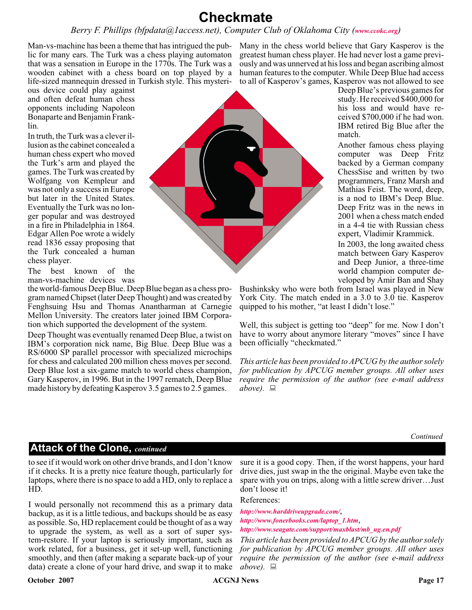# **Checkmate**

### *Berry F. Phillips (bfpdata@1access.net), Computer Club of Oklahoma City ([www.ccokc.org](http://www.ccokc.org))*

Man-vs-machine has been a theme that has intrigued the public for many ears. The Turk was a chess playing automaton that was a sensation in Europe in the 1770s. The Turk was a wooden cabinet with a chess board on top played by a life-sized mannequin dressed in Turkish style. This mysteri-

ous device could play against and often defeat human chess opponents including Napoleon Bonaparte and Benjamin Franklin.

In truth, the Turk was a clever illusion as the cabinet concealed a human chess expert who moved the Turk's arm and played the games. The Turk was created by Wolfgang von Kempleur and was not only a success in Europe but later in the United States. Eventually the Turk was no longer popular and was destroyed in a fire in Philadelphia in 1864. Edgar Allen Poe wrote a widely read 1836 essay proposing that the Turk concealed a human chess player.

The best known of the man-vs-machine devices was

the world-famous Deep Blue. Deep Blue began as a chess program named Chipset (later Deep Thought) and was created by Fenghsuing Hsu and Thomas Anantharman at Carnegie Mellon University. The creators later joined IBM Corporation which supported the development of the system.

Deep Thought was eventually renamed Deep Blue, a twist on IBM's corporation nick name, Big Blue. Deep Blue was a RS/6000 SP parallel processor with specialized microchips for chess and calculated 200 million chess moves per second. Deep Blue lost a six-game match to world chess champion, Gary Kasperov, in 1996. But in the 1997 rematch, Deep Blue made history by defeating Kasperov 3.5 games to 2.5 games.

Many in the chess world believe that Gary Kasperov is the greatest human chess player. He had never lost a game previously and was unnerved at his loss and began ascribing almost human features to the computer. While Deep Blue had access to all of Kasperov's games, Kasperov was not allowed to see

Deep Blue's previous games for study. He received \$400,000 for his loss and would have received \$700,000 if he had won. IBM retired Big Blue after the match.

Another famous chess playing computer was Deep Fritz backed by a German company ChessSise and written by two programmers, Franz Marsh and Mathias Feist. The word, deep, is a nod to IBM's Deep Blue. Deep Fritz was in the news in 2001 when a chess match ended in a 4-4 tie with Russian chess expert, Vladimir Krammick.

In 2003, the long awaited chess match between Gary Kasperov and Deep Junior, a three-time world champion computer developed by Amir Ban and Shay

Bushinksky who were both from Israel was played in New York City. The match ended in a 3.0 to 3.0 tie. Kasperov quipped to his mother, "at least I didn't lose."

Well, this subject is getting too "deep" for me. Now I don't have to worry about anymore literary "moves" since I have been officially "checkmated."

*This article has been provided to APCUG by the author solely for publication by APCUG member groups. All other uses require the permission of the author (see e-mail address above).*

*Continued*

# **Attack of the Clone,** *continued*

to see if it would work on other drive brands, and I don't know if it checks. It is a pretty nice feature though, particularly for laptops, where there is no space to add a HD, only to replace a HD.

I would personally not recommend this as a primary data backup, as it is a little tedious, and backups should be as easy as possible. So, HD replacement could be thought of as a way to upgrade the system, as well as a sort of super system-restore. If your laptop is seriously important, such as work related, for a business, get it set-up well, functioning smoothly, and then (after making a separate back-up of your data) create a clone of your hard drive, and swap it to make sure it is a good copy. Then, if the worst happens, your hard drive dies, just swap in the the original. Maybe even take the spare with you on trips, along with a little screw driver…Just don't loose it!

#### References:

*<http://www.harddriveupgrade.com/>*, *[http://www.fonerbooks.com/laptop\\_1.htm](http://www.fonerbooks.com/laptop_1.htm)*, *[http://www.seagate.com/support/maxblast/mb\\_ug.en.pdf](http://www.seagate.com/support/maxblast/mb_ug.en.pdf)*

*This article has been provided to APCUG by the author solely for publication by APCUG member groups. All other uses require the permission of the author (see e-mail address above).*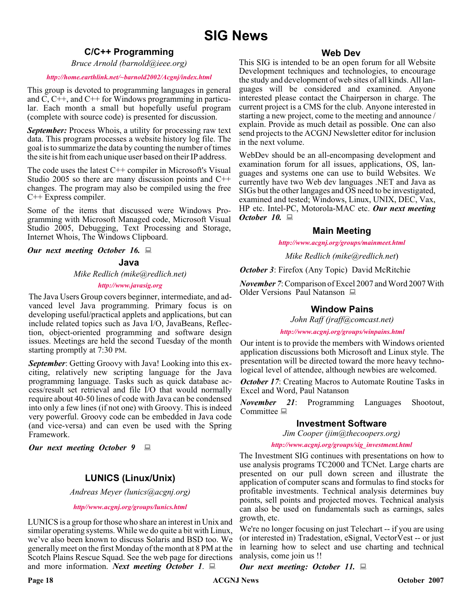# **SIG News**

### **C/C++ Programming**

*Bruce Arnold (barnold@ieee.org)*

#### *<http://home.earthlink.net/~barnold2002/Acgnj/index.html>*

This group is devoted to programming languages in general and C, C++, and C++ for Windows programming in particular. Each month a small but hopefully useful program (complete with source code) is presented for discussion.

*September:* Process Whois, a utility for processing raw text data. This program processes a website history log file. The goal is to summarize the data by counting the number of times the site is hit from each unique user based on their IP address.

The code uses the latest C++ compiler in Microsoft's Visual Studio 2005 so there are many discussion points and C++ changes. The program may also be compiled using the free C++ Express compiler.

Some of the items that discussed were Windows Programming with Microsoft Managed code, Microsoft Visual Studio 2005, Debugging, Text Processing and Storage, Internet Whois, The Windows Clipboard.

*Our next meeting October 16.*

#### **Java**

*Mike Redlich (mike@redlich.net)*

#### *<http://www.javasig.org>*

The Java Users Group covers beginner, intermediate, and advanced level Java programming. Primary focus is on developing useful/practical applets and applications, but can include related topics such as Java I/O, JavaBeans, Reflection, object-oriented programming and software design issues. Meetings are held the second Tuesday of the month starting promptly at 7:30 PM.

**September:** Getting Groovy with Java! Looking into this exciting, relatively new scripting language for the Java programming language. Tasks such as quick database access/result set retrieval and file I/O that would normally require about 40-50 lines of code with Java can be condensed into only a few lines (if not one) with Groovy. This is indeed very powerful. Groovy code can be embedded in Java code (and vice-versa) and can even be used with the Spring Framework.

*Our next meeting October 9*

# **LUNICS (Linux/Unix)**

*Andreas Meyer (lunics@acgnj.org)*

*<http//www.acgnj.org/groups/lunics.html>*

LUNICS is a group for those who share an interest in Unix and similar operating systems. While we do quite a bit with Linux, we've also been known to discuss Solaris and BSD too. We generally meet on the first Monday of the month at 8 PM at the Scotch Plains Rescue Squad. See the web page for directions and more information. *Next meeting October 1*.

#### **Web Dev**

This SIG is intended to be an open forum for all Website Development techniques and technologies, to encourage the study and development of web sites of all kinds. All languages will be considered and examined. Anyone interested please contact the Chairperson in charge. The current project is a CMS for the club. Anyone interested in starting a new project, come to the meeting and announce / explain. Provide as much detail as possible. One can also send projects to the ACGNJ Newsletter editor for inclusion in the next volume.

WebDev should be an all-encompasing development and examination forum for all issues, applications, OS, languages and systems one can use to build Websites. We currently have two Web dev languages .NET and Java as SIGs but the other langages and OS need to be investigated, examined and tested; Windows, Linux, UNIX, DEC, Vax, HP etc. Intel-PC, Motorola-MAC etc. *Our next meeting October 10.*

#### **Main Meeting**

*<http://www.acgnj.org/groups/mainmeet.html>*

*Mike Redlich (mike@redlich.net*)

*October 3*: Firefox (Any Topic) David McRitchie

*November 7*: Comparison of Excel 2007 and Word 2007 With Older Versions Paul Natanson

### **Window Pains**

*John Raff (jraff@comcast.net)*

*<http://www.acgnj.org/groups/winpains.html>*

Our intent is to provide the members with Windows oriented application discussions both Microsoft and Linux style. The presentation will be directed toward the more heavy technological level of attendee, although newbies are welcomed.

*October 17:* Creating Macros to Automate Routine Tasks in Excel and Word, Paul Natanson

*November 21*: Programming Languages Shootout, Committee  $\Box$ 

#### **Investment Software**

*Jim Cooper (jim@thecoopers.org)*

*[http://www.acgnj.org/groups/sig\\_investment.html](http://www.acgnj.org/groups/sig_investment.html)*

The Investment SIG continues with presentations on how to use analysis programs TC2000 and TCNet. Large charts are presented on our pull down screen and illustrate the application of computer scans and formulas to find stocks for profitable investments. Technical analysis determines buy points, sell points and projected moves. Technical analysis can also be used on fundamentals such as earnings, sales growth, etc.

We're no longer focusing on just Telechart -- if you are using (or interested in) Tradestation, eSignal, VectorVest -- or just in learning how to select and use charting and technical analysis, come join us !!

*Our next meeting: October 11.*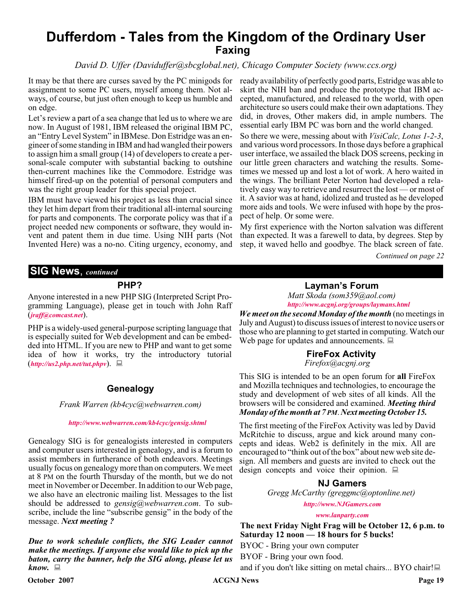# **Dufferdom - Tales from the Kingdom of the Ordinary User Faxing**

### *David D. Uffer (Daviduffer@sbcglobal.net), Chicago Computer Society (www.ccs.org)*

It may be that there are curses saved by the PC minigods for assignment to some PC users, myself among them. Not always, of course, but just often enough to keep us humble and on edge.

Let's review a part of a sea change that led us to where we are now. In August of 1981, IBM released the original IBM PC, an "Entry Level System" in IBMese. Don Estridge was an engineer of some standing in IBM and had wangled their powers to assign him a small group (14) of developers to create a personal-scale computer with substantial backing to outshine then-current machines like the Commodore. Estridge was himself fired-up on the potential of personal computers and was the right group leader for this special project.

IBM must have viewed his project as less than crucial since they let him depart from their traditional all-internal sourcing for parts and components. The corporate policy was that if a project needed new components or software, they would invent and patent them in due time. Using NIH parts (Not Invented Here) was a no-no. Citing urgency, economy, and

ready availability of perfectly good parts, Estridge was able to skirt the NIH ban and produce the prototype that IBM accepted, manufactured, and released to the world, with open architecture so users could make their own adaptations. They did, in droves, Other makers did, in ample numbers. The essential early IBM PC was born and the world changed.

So there we were, messing about with *VisiCalc, Lotus 1-2-3*, and various word processors. In those days before a graphical user interface, we assailed the black DOS screens, pecking in our little green characters and watching the results. Sometimes we messed up and lost a lot of work. A hero waited in the wings. The brilliant Peter Norton had developed a relatively easy way to retrieve and resurrect the lost — or most of it. A savior was at hand, idolized and trusted as he developed more aids and tools. We were infused with hope by the prospect of help. Or some were.

My first experience with the Norton salvation was different than expected. It was a farewell to data, by degrees. Step by step, it waved hello and goodbye. The black screen of fate.

*Continued on page 22*

### **SIG News**, *continued*

#### **PHP?**

Anyone interested in a new PHP SIG (Interpreted Script Programming Language), please get in touch with John Raff (*[jraff@comcast.net](mailto:jraff@comcast.net)*).

PHP is a widely-used general-purpose scripting language that is especially suited for Web development and can be embedded into HTML. If you are new to PHP and want to get some idea of how it works, try the introductory tutorial (*<http://us2.php.net/tut.phpv>*).

#### **Genealogy**

*Frank Warren (kb4cyc@webwarren.com)*

#### *<http://www.webwarren.com/kb4cyc/gensig.shtml>*

Genealogy SIG is for genealogists interested in computers and computer users interested in genealogy, and is a forum to assist members in furtherance of both endeavors. Meetings usually focus on genealogy more than on computers. We meet at 8 PM on the fourth Thursday of the month, but we do not meet in November or December. In addition to our Web page, we also have an electronic mailing list. Messages to the list should be addressed to *gensig@webwarren.com*. To subscribe, include the line "subscribe gensig" in the body of the message. *Next meeting ?*

*Due to work schedule conflicts, the SIG Leader cannot make the meetings. If anyone else would like to pick up the baton, carry the banner, help the SIG along, please let us know.*

#### **Layman's Forum**

*Matt Skoda (som359@aol.com) <http://www.acgnj.org/groups/laymans.html>*

*We meet on the second Monday of the month* (no meetings in July and August) to discuss issues of interest to novice users or those who are planning to get started in computing. Watch our Web page for updates and announcements.  $\Box$ 

### **FireFox Activity**

*Firefox@acgnj.org*

This SIG is intended to be an open forum for **all** FireFox and Mozilla techniques and technologies, to encourage the study and development of web sites of all kinds. All the browsers will be considered and examined. *Meeting third Monday of the month at 7 PM*. *Next meeting October 15.*

The first meeting of the FireFox Activity was led by David McRitchie to discuss, argue and kick around many concepts and ideas. Web2 is definitely in the mix. All are encouraged to "think out of the box" about new web site design. All members and guests are invited to check out the design concepts and voice their opinion.  $\Box$ 

#### **NJ Gamers**

*Gregg McCarthy (greggmc@optonline.net)*

*<http://www.NJGamers.com>*

*[www.lanparty.com](http://www.lanparty.com)*

**The next Friday Night Frag will be October 12, 6 p.m. to Saturday 12 noon — 18 hours for 5 bucks!**

BYOC - Bring your own computer

BYOF - Bring your own food.

and if you don't like sitting on metal chairs... BYO chair!

**October 2007 ACGNJ News Page 19**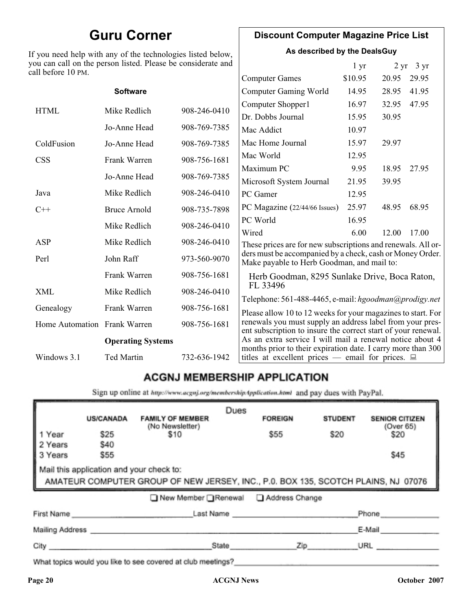# **Guru Corner**

If you need help with any of the technologies listed below, you can call on the person listed. Please be considerate and ca

# **Discount Computer Magazine Price List**

**As described by the DealsGuy**

 $1 \text{ yr}$   $2 \text{ yr}$   $3 \text{ yr}$ 

| ll before 10 PM. |                                                                                                                                                                            |              |                                                                                                                       |         |       |       |
|------------------|----------------------------------------------------------------------------------------------------------------------------------------------------------------------------|--------------|-----------------------------------------------------------------------------------------------------------------------|---------|-------|-------|
|                  |                                                                                                                                                                            |              | <b>Computer Games</b>                                                                                                 | \$10.95 | 20.95 | 29.95 |
|                  | <b>Software</b>                                                                                                                                                            |              | <b>Computer Gaming World</b>                                                                                          | 14.95   | 28.95 | 41.95 |
| <b>HTML</b>      | Mike Redlich                                                                                                                                                               | 908-246-0410 | Computer Shopper1                                                                                                     | 16.97   | 32.95 | 47.95 |
|                  |                                                                                                                                                                            |              | Dr. Dobbs Journal                                                                                                     | 15.95   | 30.95 |       |
|                  | Jo-Anne Head                                                                                                                                                               | 908-769-7385 | Mac Addict                                                                                                            | 10.97   |       |       |
| ColdFusion       | Jo-Anne Head                                                                                                                                                               | 908-769-7385 | Mac Home Journal                                                                                                      | 15.97   | 29.97 |       |
| <b>CSS</b>       | Frank Warren                                                                                                                                                               | 908-756-1681 | Mac World                                                                                                             | 12.95   |       |       |
|                  |                                                                                                                                                                            |              | Maximum PC                                                                                                            | 9.95    | 18.95 | 27.95 |
|                  | Jo-Anne Head                                                                                                                                                               | 908-769-7385 | Microsoft System Journal                                                                                              | 21.95   | 39.95 |       |
| Java             | Mike Redlich                                                                                                                                                               | 908-246-0410 | PC Gamer                                                                                                              | 12.95   |       |       |
| $C++$            | <b>Bruce Arnold</b>                                                                                                                                                        | 908-735-7898 | PC Magazine (22/44/66 Issues)                                                                                         | 25.97   | 48.95 | 68.95 |
|                  | Mike Redlich                                                                                                                                                               | 908-246-0410 | PC World                                                                                                              | 16.95   |       |       |
|                  |                                                                                                                                                                            |              | Wired                                                                                                                 | 6.00    | 12.00 | 17.00 |
| ASP              | Mike Redlich                                                                                                                                                               | 908-246-0410 | These prices are for new subscriptions and renewals. All or-                                                          |         |       |       |
| Perl             | John Raff                                                                                                                                                                  | 973-560-9070 | ders must be accompanied by a check, cash or Money Order.<br>Make payable to Herb Goodman, and mail to:               |         |       |       |
|                  | Frank Warren                                                                                                                                                               | 908-756-1681 | Herb Goodman, 8295 Sunlake Drive, Boca Raton,                                                                         |         |       |       |
| XML              | Mike Redlich                                                                                                                                                               | 908-246-0410 | FL 33496<br>Telephone: 561-488-4465, e-mail: hgoodman@prodigy.net                                                     |         |       |       |
| Genealogy        | Frank Warren                                                                                                                                                               | 908-756-1681 | Please allow 10 to 12 weeks for your magazines to start. For                                                          |         |       |       |
|                  | renewals you must supply an address label from your pres-<br>Home Automation Frank Warren<br>908-756-1681<br>ent subscription to insure the correct start of your renewal. |              |                                                                                                                       |         |       |       |
|                  | <b>Operating Systems</b>                                                                                                                                                   |              | As an extra service I will mail a renewal notice about 4                                                              |         |       |       |
| Windows 3.1      | Ted Martin                                                                                                                                                                 | 732-636-1942 | months prior to their expiration date. I carry more than 300<br>titles at excellent prices — email for prices. $\Box$ |         |       |       |
|                  |                                                                                                                                                                            |              |                                                                                                                       |         |       |       |

# **ACGNJ MEMBERSHIP APPLICATION**

Sign up online at http://www.acgnj.org/membershipApplication.html and pay dues with PayPal.

|                                                                                                                               | <b>US/CANADA</b>            | <b>FAMILY OF MEMBER</b><br>(No Newsletter)                                                                      | Dues  | <b>FOREIGN</b> | <b>STUDENT</b> | <b>SENIOR CITIZEN</b><br>(Over 65) |
|-------------------------------------------------------------------------------------------------------------------------------|-----------------------------|-----------------------------------------------------------------------------------------------------------------|-------|----------------|----------------|------------------------------------|
| 1 Year                                                                                                                        | \$25                        | \$10                                                                                                            |       | \$55           | \$20           | \$20                               |
| 2 Years                                                                                                                       | <b>\$40</b>                 |                                                                                                                 |       |                |                |                                    |
| 3 Years                                                                                                                       | \$55                        |                                                                                                                 |       |                |                | \$45                               |
| Mail this application and your check to:<br>AMATEUR COMPUTER GROUP OF NEW JERSEY, INC., P.0. BOX 135, SCOTCH PLAINS, NJ 07076 |                             |                                                                                                                 |       |                |                |                                    |
|                                                                                                                               |                             | ■ New Member Renewal ■ Address Change                                                                           |       |                |                |                                    |
|                                                                                                                               | First Name                  |                                                                                                                 |       | Last Name      |                | Phone                              |
|                                                                                                                               | Mailing Address ___________ |                                                                                                                 |       |                |                | E-Mail                             |
| City                                                                                                                          |                             |                                                                                                                 | State | Zip            |                | URL                                |
|                                                                                                                               |                             | and the state of the state of the state of the state of the state of the state of the state of the state of the |       |                |                |                                    |

What topics would you like to see covered at club meetings?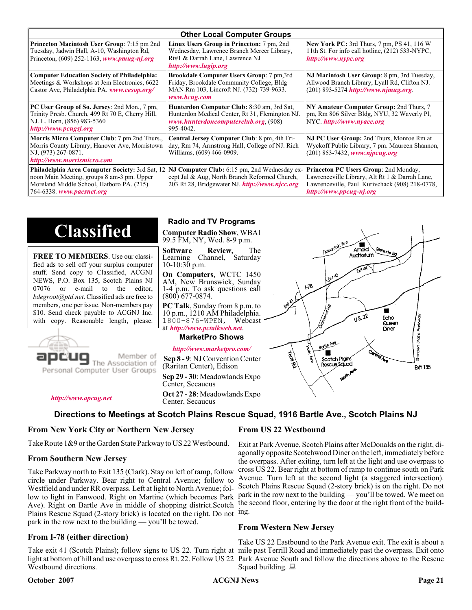| <b>Other Local Computer Groups</b>                                                                                                                                             |                                                                                                                                                           |                                                                                                                                                                      |  |  |
|--------------------------------------------------------------------------------------------------------------------------------------------------------------------------------|-----------------------------------------------------------------------------------------------------------------------------------------------------------|----------------------------------------------------------------------------------------------------------------------------------------------------------------------|--|--|
| <b>Princeton Macintosh User Group:</b> 7:15 pm 2nd<br>Tuesday, Jadwin Hall, A-10, Washington Rd,<br>Princeton, $(609)$ 252-1163, www.pmug-nj.org                               | Linux Users Group in Princeton: 7 pm, 2nd<br>Wednesday, Lawrence Branch Mercer Library,<br>Rt#1 & Darrah Lane, Lawrence NJ<br>http://www.lugip.org        | <b>New York PC:</b> 3rd Thurs, 7 pm, PS 41, 116 W<br>11th St. For info call hotline, (212) 533-NYPC,<br>http://www.nypc.org                                          |  |  |
| <b>Computer Education Society of Philadelphia:</b><br>Meetings & Workshops at Jem Electronics, 6622<br>Castor Ave, Philadelphia PA. www.cesop.org/                             | <b>Brookdale Computer Users Group:</b> 7 pm, 3rd<br>Friday, Brookdale Community College, Bldg<br>MAN Rm 103, Lincroft NJ. (732)-739-9633.<br>www.bcug.com | NJ Macintosh User Group: 8 pm, 3rd Tuesday,<br>Allwood Branch Library, Lyall Rd, Clifton NJ.<br>$(201)$ 893-5274 http://www.njmug.org.                               |  |  |
| PC User Group of So. Jersey: 2nd Mon., 7 pm,<br>Trinity Presb. Church, 499 Rt 70 E, Cherry Hill,<br>NJ. L. Horn, (856) 983-5360<br>http://www.pcugsj.org                       | Hunterdon Computer Club: 8:30 am, 3rd Sat,<br>Hunterdon Medical Center, Rt 31, Flemington NJ.<br>www.hunterdoncomputerclub.org (908)<br>995-4042.         | NY Amateur Computer Group: 2nd Thurs, 7<br>pm, Rm 806 Silver Bldg, NYU, 32 Waverly Pl,<br>NYC http://www.nyacc.org                                                   |  |  |
| <b>Morris Micro Computer Club:</b> 7 pm 2nd Thurs.,<br>Morris County Library, Hanover Ave, Morristown<br>NJ, (973) 267-0871.<br>http://www.morrismicro.com                     | Central Jersey Computer Club: 8 pm, 4th Fri-<br>day, Rm 74, Armstrong Hall, College of NJ. Rich<br>Williams, (609) 466-0909.                              | NJ PC User Group: 2nd Thurs, Monroe Rm at<br>Wyckoff Public Library, 7 pm. Maureen Shannon,<br>(201) 853-7432, www.njpcug.org                                        |  |  |
| <b>Philadelphia Area Computer Society: 3rd Sat, 12</b><br>noon Main Meeting, groups 8 am-3 pm. Upper<br>Moreland Middle School, Hatboro PA. (215)<br>764-6338. www.pacsnet.org | NJ Computer Club: 6:15 pm, 2nd Wednesday ex-<br>cept Jul & Aug, North Branch Reformed Church,<br>203 Rt 28, Bridgewater NJ. http://www.njcc.org           | Princeton PC Users Group: 2nd Monday,<br>Lawrenceville Library, Alt Rt 1 & Darrah Lane,<br>Lawrenceville, Paul Kurivchack (908) 218-0778,<br>http://www.ppcug-nj.org |  |  |

# **Classified**

**FREE TO MEMBERS**. Use our classified ads to sell off your surplus computer stuff. Send copy to Classified, ACGNJ NEWS, P.O. Box 135, Scotch Plains NJ 07076 or e-mail to the editor, *bdegroot@ptd.net*. Classified ads are free to members, one per issue. Non-members pay \$10. Send check payable to ACGNJ Inc. with copy. Reasonable length, please.



#### Member of The Association of

Personal Computer User Groups

*<http://www.apcug.net>*

#### **Radio and TV Programs**

**Computer Radio Show**, WBAI 99.5 FM, NY, Wed. 8-9 p.m.

**Software Review,** The Learning Channel, Saturday 10-10:30 p.m.

**On Computers**, WCTC 1450 AM, New Brunswick, Sunday 1-4 p.m. To ask questions call (800) 677-0874.

**PC Talk**, Sunday from 8 p.m. to 10 p.m., 1210 AM Philadelphia. 1800-876-WPEN, Webcast at *<http://www.pctalkweb.net>*.

#### **MarketPro Shows**

#### *<http://www.marketpro.com/>*

**Sep 8 - 9**: NJ Convention Center (Raritan Center), Edison

**Sep 29 - 30**: Meadowlands Expo

Center, Secaucus **Oct 27 - 28**: Meadowlands Expo Center, Secaucus

**Directions to Meetings at Scotch Plains Rescue Squad, 1916 Bartle Ave., Scotch Plains NJ**

#### **From New York City or Northern New Jersey**

Take Route 1&9 or the Garden State Parkway to US 22 Westbound.

#### **From Southern New Jersey**

Take Parkway north to Exit 135 (Clark). Stay on left of ramp, follow circle under Parkway. Bear right to Central Avenue; follow to Westfield and under RR overpass. Left at light to North Avenue; follow to light in Fanwood. Right on Martine (which becomes Park Ave). Right on Bartle Ave in middle of shopping district.Scotch Plains Rescue Squad (2-story brick) is located on the right. Do not ing. park in the row next to the building — you'll be towed.

#### **From I-78 (either direction)**

Take exit 41 (Scotch Plains); follow signs to US 22. Turn right at mile past Terrill Road and immediately past the overpass. Exit onto light at bottom of hill and use overpass to cross Rt. 22. Follow US 22 Park Avenue South and follow the directions above to the Rescue Westbound directions.

#### **October 2007 CONS Page 21 CONS Page 21 Page 21**

#### **From US 22 Westbound**

Exit at Park Avenue, Scotch Plains after McDonalds on the right, diagonally opposite Scotchwood Diner on the left, immediately before the overpass. After exiting, turn left at the light and use overpass to cross US 22. Bear right at bottom of ramp to continue south on Park Avenue. Turn left at the second light (a staggered intersection). Scotch Plains Rescue Squad (2-story brick) is on the right. Do not park in the row next to the building — you'll be towed. We meet on the second floor, entering by the door at the right front of the build-

#### **From Western New Jersey**

Take US 22 Eastbound to the Park Avenue exit. The exit is about a Squad building.  $\Box$